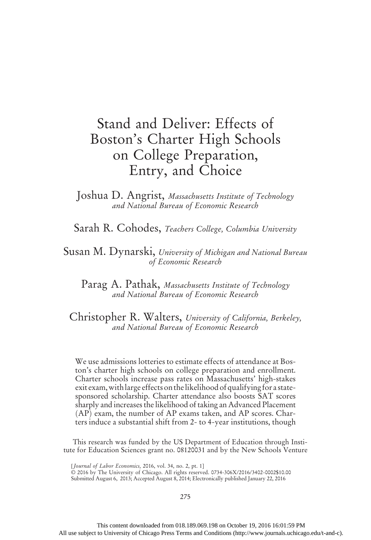# Stand and Deliver: Effects of Boston's Charter High Schools on College Preparation, Entry, and Choice

Joshua D. Angrist, Massachusetts Institute of Technology and National Bureau of Economic Research

Sarah R. Cohodes, Teachers College, Columbia University

Susan M. Dynarski, University of Michigan and National Bureau of Economic Research

Parag A. Pathak, Massachusetts Institute of Technology and National Bureau of Economic Research

Christopher R. Walters, University of California, Berkeley, and National Bureau of Economic Research

We use admissions lotteries to estimate effects of attendance at Boston's charter high schools on college preparation and enrollment. Charter schools increase pass rates on Massachusetts' high-stakes exit exam, with large effects on the likelihood of qualifying for a statesponsored scholarship. Charter attendance also boosts SAT scores sharply and increases the likelihood of taking an Advanced Placement  $(AP)$  exam, the number of  $AP$  exams taken, and  $AP$  scores. Charters induce a substantial shift from 2- to 4-year institutions, though

This research was funded by the US Department of Education through Institute for Education Sciences grant no. 08120031 and by the New Schools Venture

[Journal of Labor Economics, 2016, vol. 34, no. 2, pt. 1]

© 2016 by The University of Chicago. All rights reserved. 0734-306X/2016/3402-0002\$10.00 Submitted August 6, 2013; Accepted August 8, 2014; Electronically published January 22, 2016

275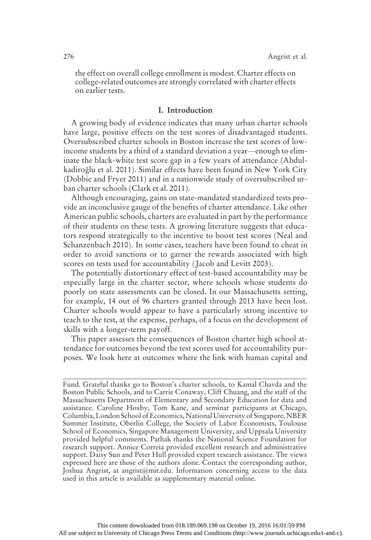the effect on overall college enrollment is modest. Charter effects on college-related outcomes are strongly correlated with charter effects on earlier tests.

#### I. Introduction

A growing body of evidence indicates that many urban charter schools have large, positive effects on the test scores of disadvantaged students. Oversubscribed charter schools in Boston increase the test scores of lowincome students by a third of a standard deviation a year—enough to eliminate the black-white test score gap in a few years of attendance (Abdulkadiroğlu et al. 2011). Similar effects have been found in New York City (Dobbie and Fryer 2011) and in a nationwide study of oversubscribed urban charter schools (Clark et al. 2011).

Although encouraging, gains on state-mandated standardized tests provide an inconclusive gauge of the benefits of charter attendance. Like other American public schools, charters are evaluated in part by the performance of their students on these tests. A growing literature suggests that educators respond strategically to the incentive to boost test scores (Neal and Schanzenbach 2010). In some cases, teachers have been found to cheat in order to avoid sanctions or to garner the rewards associated with high scores on tests used for accountability (Jacob and Levitt 2003).

The potentially distortionary effect of test-based accountability may be especially large in the charter sector, where schools whose students do poorly on state assessments can be closed. In our Massachusetts setting, for example, 14 out of 96 charters granted through 2013 have been lost. Charter schools would appear to have a particularly strong incentive to teach to the test, at the expense, perhaps, of a focus on the development of skills with a longer-term payoff.

This paper assesses the consequences of Boston charter high school attendance for outcomes beyond the test scores used for accountability purposes. We look here at outcomes where the link with human capital and

Fund. Grateful thanks go to Boston's charter schools, to Kamal Chavda and the Boston Public Schools, and to Carrie Conaway, Cliff Chuang, and the staff of the Massachusetts Department of Elementary and Secondary Education for data and assistance. Caroline Hoxby, Tom Kane, and seminar participants at Chicago, Columbia, London School of Economics, National University of Singapore, NBER Summer Institute, Oberlin College, the Society of Labor Economists, Toulouse School of Economics, Singapore Management University, and Uppsala University provided helpful comments. Pathak thanks the National Science Foundation for research support. Annice Correia provided excellent research and administrative support. Daisy Sun and Peter Hull provided expert research assistance. The views expressed here are those of the authors alone. Contact the corresponding author, Joshua Angrist, at angrist@mit.edu. Information concerning access to the data used in this article is available as supplementary material online.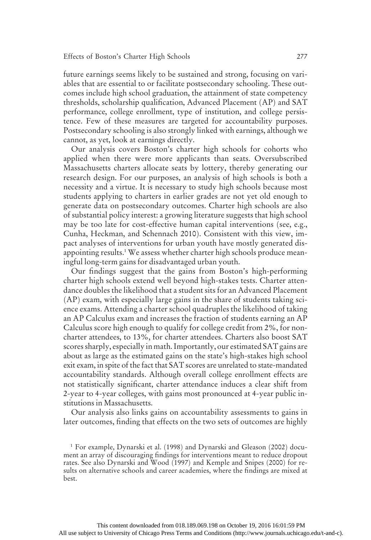future earnings seems likely to be sustained and strong, focusing on variables that are essential to or facilitate postsecondary schooling. These outcomes include high school graduation, the attainment of state competency thresholds, scholarship qualification, Advanced Placement  $(AP)$  and SAT performance, college enrollment, type of institution, and college persistence. Few of these measures are targeted for accountability purposes. Postsecondary schooling is also strongly linked with earnings, although we cannot, as yet, look at earnings directly.

Our analysis covers Boston's charter high schools for cohorts who applied when there were more applicants than seats. Oversubscribed Massachusetts charters allocate seats by lottery, thereby generating our research design. For our purposes, an analysis of high schools is both a necessity and a virtue. It is necessary to study high schools because most students applying to charters in earlier grades are not yet old enough to generate data on postsecondary outcomes. Charter high schools are also of substantial policy interest: a growing literature suggests that high school may be too late for cost-effective human capital interventions (see, e.g., Cunha, Heckman, and Schennach 2010). Consistent with this view, impact analyses of interventions for urban youth have mostly generated disappointing results.1 We assess whether charter high schools produce meaningful long-term gains for disadvantaged urban youth.

Our findings suggest that the gains from Boston's high-performing charter high schools extend well beyond high-stakes tests. Charter attendance doubles the likelihood that a student sits for an Advanced Placement  $(AP)$  exam, with especially large gains in the share of students taking science exams. Attending a charter school quadruples the likelihood of taking an AP Calculus exam and increases the fraction of students earning an AP Calculus score high enough to qualify for college credit from 2%, for noncharter attendees, to 13%, for charter attendees. Charters also boost SAT scores sharply, especially in math. Importantly, our estimated SAT gains are about as large as the estimated gains on the state's high-stakes high school exit exam, in spite of the fact that SAT scores are unrelated to state-mandated accountability standards. Although overall college enrollment effects are not statistically significant, charter attendance induces a clear shift from 2-year to 4-year colleges, with gains most pronounced at 4-year public institutions in Massachusetts.

Our analysis also links gains on accountability assessments to gains in later outcomes, finding that effects on the two sets of outcomes are highly

<sup>&</sup>lt;sup>1</sup> For example, Dynarski et al. (1998) and Dynarski and Gleason (2002) document an array of discouraging findings for interventions meant to reduce dropout rates. See also Dynarski and Wood (1997) and Kemple and Snipes (2000) for results on alternative schools and career academies, where the findings are mixed at best.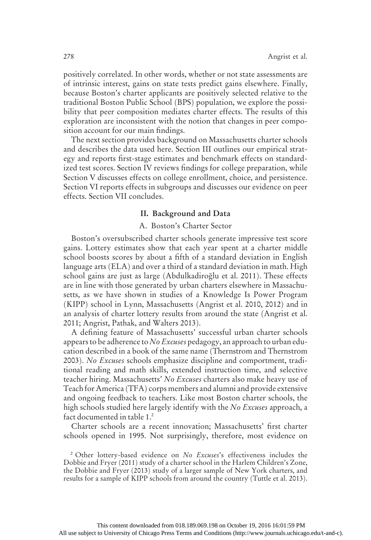positively correlated. In other words, whether or not state assessments are of intrinsic interest, gains on state tests predict gains elsewhere. Finally, because Boston's charter applicants are positively selected relative to the traditional Boston Public School (BPS) population, we explore the possibility that peer composition mediates charter effects. The results of this exploration are inconsistent with the notion that changes in peer composition account for our main findings.

The next section provides background on Massachusetts charter schools and describes the data used here. Section III outlines our empirical strategy and reports first-stage estimates and benchmark effects on standardized test scores. Section IV reviews findings for college preparation, while Section V discusses effects on college enrollment, choice, and persistence. Section VI reports effects in subgroups and discusses our evidence on peer effects. Section VII concludes.

### II. Background and Data

# A. Boston's Charter Sector

Boston's oversubscribed charter schools generate impressive test score gains. Lottery estimates show that each year spent at a charter middle school boosts scores by about a fifth of a standard deviation in English language arts (ELA) and over a third of a standard deviation in math. High school gains are just as large (Abdulkadiroğlu et al. 2011). These effects are in line with those generated by urban charters elsewhere in Massachusetts, as we have shown in studies of a Knowledge Is Power Program (KIPP) school in Lynn, Massachusetts (Angrist et al. 2010, 2012) and in an analysis of charter lottery results from around the state (Angrist et al. 2011; Angrist, Pathak, and Walters 2013).

A defining feature of Massachusetts' successful urban charter schools appears to be adherence to No Excuses pedagogy, an approach to urban education described in a book of the same name (Thernstrom and Thernstrom 2003). No Excuses schools emphasize discipline and comportment, traditional reading and math skills, extended instruction time, and selective teacher hiring. Massachusetts' No Excuses charters also make heavy use of Teach for America (TFA) corps members and alumni and provide extensive and ongoing feedback to teachers. Like most Boston charter schools, the high schools studied here largely identify with the No Excuses approach, a fact documented in table 1.<sup>2</sup>

Charter schools are a recent innovation; Massachusetts' first charter schools opened in 1995. Not surprisingly, therefore, most evidence on

<sup>2</sup> Other lottery-based evidence on No Excuses's effectiveness includes the Dobbie and Fryer (2011) study of a charter school in the Harlem Children's Zone, the Dobbie and Fryer (2013) study of a larger sample of New York charters, and results for a sample of KIPP schools from around the country (Tuttle et al. 2013).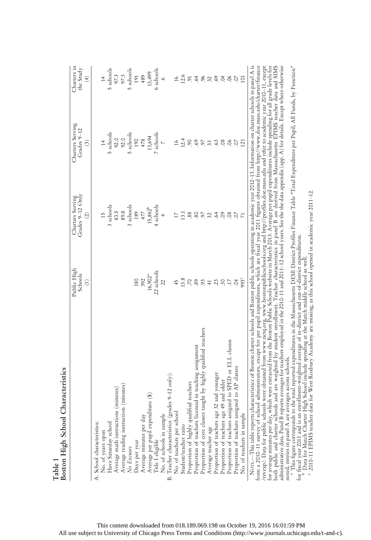| Characteristics<br>Boston High School<br>Table 1                                                                                                                                                                                                                                                                                                                                                                                                                                                                                                                                                                                                                                                                                                                                   |                                           |                                                         |                                                   |                                           |
|------------------------------------------------------------------------------------------------------------------------------------------------------------------------------------------------------------------------------------------------------------------------------------------------------------------------------------------------------------------------------------------------------------------------------------------------------------------------------------------------------------------------------------------------------------------------------------------------------------------------------------------------------------------------------------------------------------------------------------------------------------------------------------|-------------------------------------------|---------------------------------------------------------|---------------------------------------------------|-------------------------------------------|
|                                                                                                                                                                                                                                                                                                                                                                                                                                                                                                                                                                                                                                                                                                                                                                                    | Public High<br>Schools<br>$\widehat{\Xi}$ | Grades $9-12$ Only<br>Charters Serving<br>$\widehat{c}$ | Charters Serving<br>Grades 9-12<br>$\binom{3}{2}$ | Charters in<br>the Study<br>$\widehat{f}$ |
| A. School characteristics:                                                                                                                                                                                                                                                                                                                                                                                                                                                                                                                                                                                                                                                                                                                                                         |                                           |                                                         |                                                   |                                           |
| No. of years open                                                                                                                                                                                                                                                                                                                                                                                                                                                                                                                                                                                                                                                                                                                                                                  |                                           | 15                                                      |                                                   |                                           |
| Have Saturday school                                                                                                                                                                                                                                                                                                                                                                                                                                                                                                                                                                                                                                                                                                                                                               |                                           | 3 schools                                               | 5 schools                                         | 5 schools                                 |
| Average math instructions (minutes)                                                                                                                                                                                                                                                                                                                                                                                                                                                                                                                                                                                                                                                                                                                                                |                                           |                                                         | 92.0                                              |                                           |
| Average reading instruction (minutes)                                                                                                                                                                                                                                                                                                                                                                                                                                                                                                                                                                                                                                                                                                                                              |                                           | $83.5$<br>$89.8$                                        | 92.0                                              | 97.3<br>97.3                              |
| No Excuses                                                                                                                                                                                                                                                                                                                                                                                                                                                                                                                                                                                                                                                                                                                                                                         |                                           | 3 schools                                               | 5 schools                                         | 5 schools                                 |
| Days per year                                                                                                                                                                                                                                                                                                                                                                                                                                                                                                                                                                                                                                                                                                                                                                      | 180                                       | 189                                                     | 190                                               | 191                                       |
| Average minutes per day                                                                                                                                                                                                                                                                                                                                                                                                                                                                                                                                                                                                                                                                                                                                                            | 392                                       | 477                                                     | 478                                               | 489                                       |
| Average per pupil expenditure (\$)                                                                                                                                                                                                                                                                                                                                                                                                                                                                                                                                                                                                                                                                                                                                                 | $16,902^{a}$                              | $15,842^{\rm b}$                                        | 13,694                                            | 13,499                                    |
| Title I eligible                                                                                                                                                                                                                                                                                                                                                                                                                                                                                                                                                                                                                                                                                                                                                                   | 22 schools                                | 4 schools                                               | 7 schools                                         | 6 schools                                 |
| No. of schools in sample                                                                                                                                                                                                                                                                                                                                                                                                                                                                                                                                                                                                                                                                                                                                                           | 22                                        | 4                                                       |                                                   | $\circ$                                   |
| B. Teacher characteristics (grades 9-12 only):                                                                                                                                                                                                                                                                                                                                                                                                                                                                                                                                                                                                                                                                                                                                     |                                           |                                                         |                                                   |                                           |
| No. of teachers per school                                                                                                                                                                                                                                                                                                                                                                                                                                                                                                                                                                                                                                                                                                                                                         | 45                                        | 17                                                      | $\frac{6}{2}$                                     | $\overline{16}$                           |
| Student/teacher ratio                                                                                                                                                                                                                                                                                                                                                                                                                                                                                                                                                                                                                                                                                                                                                              | 13.8                                      | 13.1                                                    | 12.4                                              | 12.6                                      |
| Proportion of highly qualified teachers                                                                                                                                                                                                                                                                                                                                                                                                                                                                                                                                                                                                                                                                                                                                            | SZ.                                       | 88                                                      | 90                                                | $\overline{91}$                           |
| Proportion of teachers licensed in teaching assignment                                                                                                                                                                                                                                                                                                                                                                                                                                                                                                                                                                                                                                                                                                                             | 89                                        | 60, 80                                                  | 69.                                               | $\ddot{ }$                                |
| Proportion of core classes taught by highly qualified teachers                                                                                                                                                                                                                                                                                                                                                                                                                                                                                                                                                                                                                                                                                                                     | 93                                        |                                                         | .97                                               | .96                                       |
| Average teacher age                                                                                                                                                                                                                                                                                                                                                                                                                                                                                                                                                                                                                                                                                                                                                                | $\overline{+1}$                           | $\mathfrak{Z}$                                          | 33                                                | 32                                        |
| Proportion of teachers age 32 and younger                                                                                                                                                                                                                                                                                                                                                                                                                                                                                                                                                                                                                                                                                                                                          | 23                                        | 64                                                      | 63                                                | 69                                        |
| Proportion of teachers age 49 and older                                                                                                                                                                                                                                                                                                                                                                                                                                                                                                                                                                                                                                                                                                                                            | 30                                        | $\mathcal{S}^{\circ}$                                   | 08                                                | Š.                                        |
| Proportion of teachers assigned to SPED or ELL classes                                                                                                                                                                                                                                                                                                                                                                                                                                                                                                                                                                                                                                                                                                                             | $\ddot{1}$                                | $\frac{5}{6}$                                           | O6                                                | 6.5                                       |
| Proportion of teachers assigned to AP classes                                                                                                                                                                                                                                                                                                                                                                                                                                                                                                                                                                                                                                                                                                                                      | ð.                                        |                                                         | <b>b</b>                                          |                                           |
| No. of teachers in sample                                                                                                                                                                                                                                                                                                                                                                                                                                                                                                                                                                                                                                                                                                                                                          | $993^c$                                   |                                                         | 121                                               | $\overline{5}$                            |
| characteristics of Boston charter schools and Boston public schools operating in academic year 2012–13. Information on charter schools in panel A is<br>for average minutes per day, which were extracted from the Boston Public Schools website in March 2013. Average per pupil expenditures include spending for all grade levels for<br>both public and charter schools and are weigh<br>from a 2010–11 survey of school administrators, except for per pupil expenditures, which are fiscal year 2011 figures obtained from http://www.doe.mass.edu/charter/finance<br>/revexp/. Data for public schools were obtained from www.netq.org, www.bostonpublicschools.org and http://profiles.doe.mass.edu and refer to academic year 2010–11, except<br>NOTE.-This table reports |                                           |                                                         |                                                   |                                           |
| administrative data. Panel B reports averages for teachers employed in the 2010–11 and 2011–12 school years. See the the data appendix (app. A) for details. Except where otherwise<br>noted entries in nanel A are averages across schools.                                                                                                                                                                                                                                                                                                                                                                                                                                                                                                                                       |                                           |                                                         |                                                   |                                           |

noted, entries in panel A are averages across schools.<br>A compare the second of the second second in the Massachusetts DESE District Profiles Finance Table "Total Expenditure per Pupil, All Funds, by Function"<br>for fiscal ye noted, entries in panel A are averages across schools.<br>" This figure corresponds to the total reported expenditures in the Massachusetts DESE District Profiles Finance Table "Total Expenditure per Pupil, All Funds, by Func

for fiscal year 2011 and is an enrollment-weighted average of in-district and out-of-district expenditures.<br><sup>b</sup> Data for Match Charter High School include spending at the Match middle school as well.<br>° 2010–11 EPIMS teache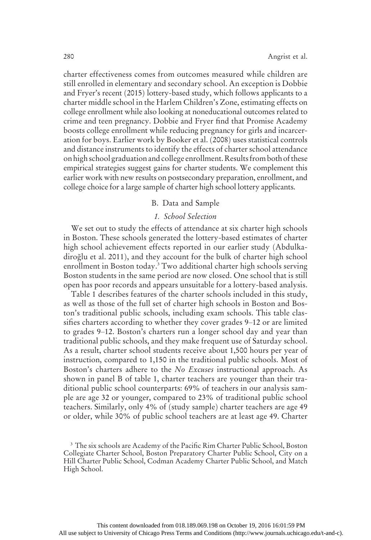charter effectiveness comes from outcomes measured while children are still enrolled in elementary and secondary school. An exception is Dobbie and Fryer's recent (2015) lottery-based study, which follows applicants to a charter middle school in the Harlem Children's Zone, estimating effects on college enrollment while also looking at noneducational outcomes related to crime and teen pregnancy. Dobbie and Fryer find that Promise Academy boosts college enrollment while reducing pregnancy for girls and incarceration for boys. Earlier work by Booker et al. (2008) uses statistical controls and distance instruments to identify the effects of charter school attendance on high school graduation and college enrollment. Results from both of these empirical strategies suggest gains for charter students. We complement this earlier work with new results on postsecondary preparation, enrollment, and college choice for a large sample of charter high school lottery applicants.

#### B. Data and Sample

# 1. School Selection

We set out to study the effects of attendance at six charter high schools in Boston. These schools generated the lottery-based estimates of charter high school achievement effects reported in our earlier study (Abdulkadiroğlu et al. 2011), and they account for the bulk of charter high school enrollment in Boston today.3 Two additional charter high schools serving Boston students in the same period are now closed. One school that is still open has poor records and appears unsuitable for a lottery-based analysis.

Table 1 describes features of the charter schools included in this study, as well as those of the full set of charter high schools in Boston and Boston's traditional public schools, including exam schools. This table classifies charters according to whether they cover grades 9–12 or are limited to grades 9–12. Boston's charters run a longer school day and year than traditional public schools, and they make frequent use of Saturday school. As a result, charter school students receive about 1,500 hours per year of instruction, compared to 1,150 in the traditional public schools. Most of Boston's charters adhere to the No Excuses instructional approach. As shown in panel B of table 1, charter teachers are younger than their traditional public school counterparts: 69% of teachers in our analysis sample are age 32 or younger, compared to 23% of traditional public school teachers. Similarly, only 4% of (study sample) charter teachers are age 49 or older, while 30% of public school teachers are at least age 49. Charter

<sup>3</sup> The six schools are Academy of the Pacific Rim Charter Public School, Boston Collegiate Charter School, Boston Preparatory Charter Public School, City on a Hill Charter Public School, Codman Academy Charter Public School, and Match High School.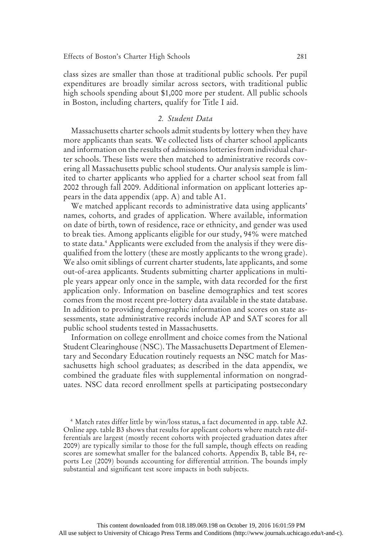class sizes are smaller than those at traditional public schools. Per pupil expenditures are broadly similar across sectors, with traditional public high schools spending about \$1,000 more per student. All public schools in Boston, including charters, qualify for Title I aid.

### 2. Student Data

Massachusetts charter schools admit students by lottery when they have more applicants than seats. We collected lists of charter school applicants and information on the results of admissions lotteries from individual charter schools. These lists were then matched to administrative records covering all Massachusetts public school students. Our analysis sample is limited to charter applicants who applied for a charter school seat from fall 2002 through fall 2009. Additional information on applicant lotteries appears in the data appendix  $(app. A)$  and table A1.

We matched applicant records to administrative data using applicants' names, cohorts, and grades of application. Where available, information on date of birth, town of residence, race or ethnicity, and gender was used to break ties. Among applicants eligible for our study, 94% were matched to state data.<sup>4</sup> Applicants were excluded from the analysis if they were disqualified from the lottery (these are mostly applicants to the wrong grade). We also omit siblings of current charter students, late applicants, and some out-of-area applicants. Students submitting charter applications in multiple years appear only once in the sample, with data recorded for the first application only. Information on baseline demographics and test scores comes from the most recent pre-lottery data available in the state database. In addition to providing demographic information and scores on state assessments, state administrative records include AP and SAT scores for all public school students tested in Massachusetts.

Information on college enrollment and choice comes from the National Student Clearinghouse (NSC). The Massachusetts Department of Elementary and Secondary Education routinely requests an NSC match for Massachusetts high school graduates; as described in the data appendix, we combined the graduate files with supplemental information on nongraduates. NSC data record enrollment spells at participating postsecondary

<sup>4</sup> Match rates differ little by win/loss status, a fact documented in app. table A2. Online app. table B3 shows that results for applicant cohorts where match rate differentials are largest (mostly recent cohorts with projected graduation dates after 2009) are typically similar to those for the full sample, though effects on reading scores are somewhat smaller for the balanced cohorts. Appendix B, table B4, reports Lee (2009) bounds accounting for differential attrition. The bounds imply substantial and significant test score impacts in both subjects.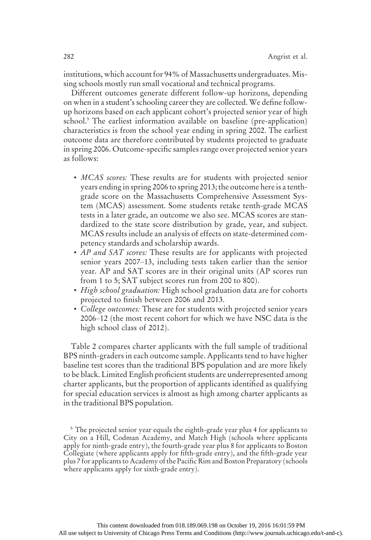institutions, which account for 94% of Massachusetts undergraduates. Missing schools mostly run small vocational and technical programs.

Different outcomes generate different follow-up horizons, depending on when in a student's schooling career they are collected. We define followup horizons based on each applicant cohort's projected senior year of high school.<sup>5</sup> The earliest information available on baseline (pre-application) characteristics is from the school year ending in spring 2002. The earliest outcome data are therefore contributed by students projected to graduate in spring 2006. Outcome-specific samples range over projected senior years as follows:

- MCAS scores: These results are for students with projected senior years ending in spring 2006 to spring 2013; the outcome here is a tenthgrade score on the Massachusetts Comprehensive Assessment System (MCAS) assessment. Some students retake tenth-grade MCAS tests in a later grade, an outcome we also see. MCAS scores are standardized to the state score distribution by grade, year, and subject. MCAS results include an analysis of effects on state-determined competency standards and scholarship awards.
- AP and SAT scores: These results are for applicants with projected senior years 2007–13, including tests taken earlier than the senior year. AP and SAT scores are in their original units (AP scores run from 1 to 5;  $SAT$  subject scores run from 200 to 800).
- High school graduation: High school graduation data are for cohorts projected to finish between 2006 and 2013.
- College outcomes: These are for students with projected senior years 2006–12 (the most recent cohort for which we have NSC data is the high school class of 2012).

Table 2 compares charter applicants with the full sample of traditional BPS ninth-graders in each outcome sample. Applicants tend to have higher baseline test scores than the traditional BPS population and are more likely to be black. Limited English proficient students are underrepresented among charter applicants, but the proportion of applicants identified as qualifying for special education services is almost as high among charter applicants as in the traditional BPS population.

<sup>&</sup>lt;sup>5</sup> The projected senior year equals the eighth-grade year plus 4 for applicants to City on a Hill, Codman Academy, and Match High (schools where applicants apply for ninth-grade entry), the fourth-grade year plus 8 for applicants to Boston Collegiate (where applicants apply for fifth-grade entry), and the fifth-grade year plus 7 for applicants to Academy of the Pacific Rim and Boston Preparatory (schools where applicants apply for sixth-grade entry).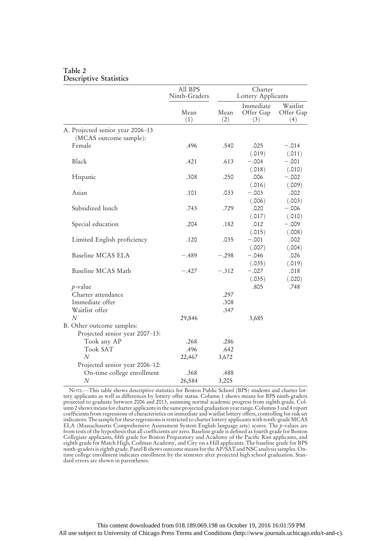#### Table 2 Descriptive Statistics

|                                                                                                 | All BPS<br>Ninth-Graders |                       | Charter<br>Lottery Applicants |                              |
|-------------------------------------------------------------------------------------------------|--------------------------|-----------------------|-------------------------------|------------------------------|
|                                                                                                 | Mean<br>(1)              | Mean<br>(2)           | Immediate<br>Offer Gap<br>(3) | Waitlist<br>Offer Gap<br>(4) |
| A. Projected senior year 2006–13<br>(MCAS outcome sample):                                      |                          |                       |                               |                              |
| Female                                                                                          | .496                     | .540                  | .025<br>(.019)                | $-.014$<br>(.011)            |
| Black                                                                                           | .421                     | .613                  | $-.004$<br>(.018)             | $-.001$<br>(.010)            |
| Hispanic                                                                                        | .308                     | .250                  | .006<br>(.016)                | $-.002$<br>(.009)            |
| Asian                                                                                           | .101                     | .033                  | $-.003$<br>(.006)             | .002<br>(.003)               |
| Subsidized lunch                                                                                | .743                     | .729                  | .020<br>(.017)                | $-.006$<br>(.010)            |
| Special education                                                                               | .204                     | .182                  | .012<br>(.015)                | $-.009$<br>(.008)            |
| Limited English proficiency                                                                     | .120                     | .035                  | $-.001$<br>(.007)             | .002<br>(.004)               |
| Baseline MCAS ELA                                                                               | $-.489$                  | $-.298$               | $-.046$<br>(.035)             | .026<br>(.019)               |
| Baseline MCAS Math                                                                              | $-.427$                  | $-.312$               | $-.027$<br>(.035)             | .018<br>(.020)               |
| $p$ -value<br>Charter attendance<br>Immediate offer                                             |                          | .297<br>.308          | .805                          | .748                         |
| Waitlist offer<br>$\overline{N}$<br>B. Other outcome samples:<br>Projected senior year 2007-13: | 29,846                   | .347                  | 3,685                         |                              |
| Took any AP<br>Took SAT<br>N                                                                    | .268<br>.496<br>22,467   | .286<br>.642<br>3,672 |                               |                              |
| Projected senior year 2006-12:<br>On-time college enrollment<br>N                               | .368<br>26,584           | .488<br>3,205         |                               |                              |

NOTE.—This table shows descriptive statistics for Boston Public School (BPS) students and charter lottery applicants as well as differences by lottery offer status. Column 1 shows means for BPS ninth-graders projected to graduate between 2006 and 2013, assuming normal academic progress from eighth grade. Col-<br>umn 2 shows means for charter applicants in the same projected graduation year range. Columns 3 and 4 report<br>coefficien indicators. The sample for these regressions is restricted to charter lottery applicants with tenth-grade MCAS<br>ELA (Massachusetts Comprehensive Assessment System English language arts) scores. The p-values are<br>from tests o time college enrollment indicates enrollment by the semester after projected high school graduation. Standard errors are shown in parentheses.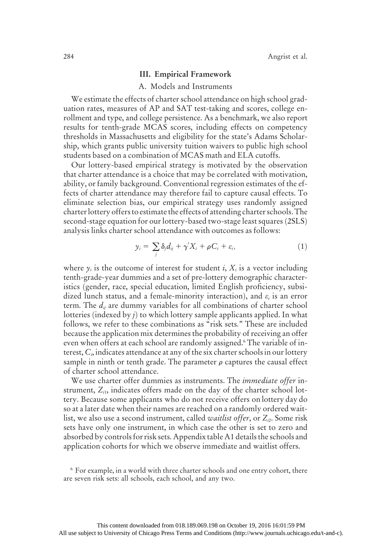#### III. Empirical Framework

# A. Models and Instruments

We estimate the effects of charter school attendance on high school graduation rates, measures of AP and SAT test-taking and scores, college enrollment and type, and college persistence. As a benchmark, we also report results for tenth-grade MCAS scores, including effects on competency thresholds in Massachusetts and eligibility for the state's Adams Scholarship, which grants public university tuition waivers to public high school students based on a combination of MCAS math and ELA cutoffs.

Our lottery-based empirical strategy is motivated by the observation that charter attendance is a choice that may be correlated with motivation, ability, or family background. Conventional regression estimates of the effects of charter attendance may therefore fail to capture causal effects. To eliminate selection bias, our empirical strategy uses randomly assigned charterlottery offers to estimate the effects of attending charter schools.The second-stage equation for our lottery-based two-stage least squares (2SLS) analysis links charter school attendance with outcomes as follows:

$$
y_i = \sum_j \delta_j d_{ij} + \gamma' X_i + \rho C_i + \varepsilon_i, \qquad (1)
$$

where  $y_i$  is the outcome of interest for student i,  $X_i$  is a vector including tenth-grade-year dummies and a set of pre-lottery demographic characteristics (gender, race, special education, limited English proficiency, subsidized lunch status, and a female-minority interaction), and  $\varepsilon_i$  is an error term. The  $d_{ii}$  are dummy variables for all combinations of charter school lotteries (indexed by  $j$ ) to which lottery sample applicants applied. In what follows, we refer to these combinations as "risk sets." These are included because the application mix determines the probability of receiving an offer even when offers at each school are randomly assigned.<sup>6</sup> The variable of interest,  $C_i$ , indicates attendance at any of the six charter schools in our lottery sample in ninth or tenth grade. The parameter  $\rho$  captures the causal effect of charter school attendance.

We use charter offer dummies as instruments. The *immediate offer* instrument,  $Z_{i1}$ , indicates offers made on the day of the charter school lottery. Because some applicants who do not receive offers on lottery day do so at a later date when their names are reached on a randomly ordered waitlist, we also use a second instrument, called *waitlist offer*, or  $Z_{i2}$ . Some risk sets have only one instrument, in which case the other is set to zero and absorbed by controls for risk sets. Appendix table A1 details the schools and application cohorts for which we observe immediate and waitlist offers.

<sup>6</sup> For example, in a world with three charter schools and one entry cohort, there are seven risk sets: all schools, each school, and any two.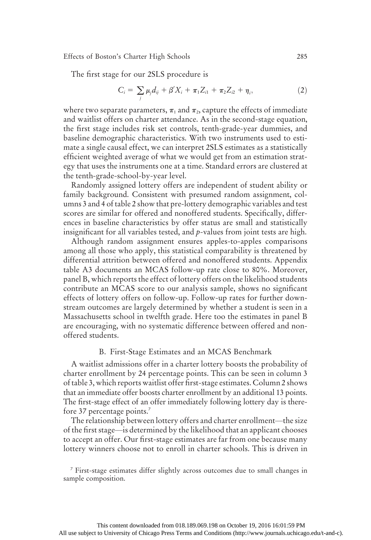Effects of Boston's Charter High Schools 285

The first stage for our 2SLS procedure is

$$
C_i = \sum_j \mu_j d_{ij} + \beta' X_i + \pi_1 Z_{i1} + \pi_2 Z_{i2} + \eta_i, \qquad (2)
$$

where two separate parameters,  $\pi_1$  and  $\pi_2$ , capture the effects of immediate and waitlist offers on charter attendance. As in the second-stage equation, the first stage includes risk set controls, tenth-grade-year dummies, and baseline demographic characteristics. With two instruments used to estimate a single causal effect, we can interpret 2SLS estimates as a statistically efficient weighted average of what we would get from an estimation strategy that uses the instruments one at a time. Standard errors are clustered at the tenth-grade-school-by-year level.

Randomly assigned lottery offers are independent of student ability or family background. Consistent with presumed random assignment, columns 3 and 4 of table 2 show that pre-lottery demographic variables and test scores are similar for offered and nonoffered students. Specifically, differences in baseline characteristics by offer status are small and statistically insignificant for all variables tested, and  $p$ -values from joint tests are high.

Although random assignment ensures apples-to-apples comparisons among all those who apply, this statistical comparability is threatened by differential attrition between offered and nonoffered students. Appendix table A3 documents an MCAS follow-up rate close to 80%. Moreover, panel B, which reports the effect of lottery offers on the likelihood students contribute an MCAS score to our analysis sample, shows no significant effects of lottery offers on follow-up. Follow-up rates for further downstream outcomes are largely determined by whether a student is seen in a Massachusetts school in twelfth grade. Here too the estimates in panel B are encouraging, with no systematic difference between offered and nonoffered students.

#### B. First-Stage Estimates and an MCAS Benchmark

A waitlist admissions offer in a charter lottery boosts the probability of charter enrollment by 24 percentage points. This can be seen in column 3 of table 3, which reports waitlist offer first-stage estimates. Column 2 shows that an immediate offer boosts charter enrollment by an additional 13 points. The first-stage effect of an offer immediately following lottery day is therefore 37 percentage points.<sup>7</sup>

The relationship between lottery offers and charter enrollment—the size of the first stage—is determined by the likelihood that an applicant chooses to accept an offer. Our first-stage estimates are far from one because many lottery winners choose not to enroll in charter schools. This is driven in

<sup>&</sup>lt;sup>7</sup> First-stage estimates differ slightly across outcomes due to small changes in sample composition.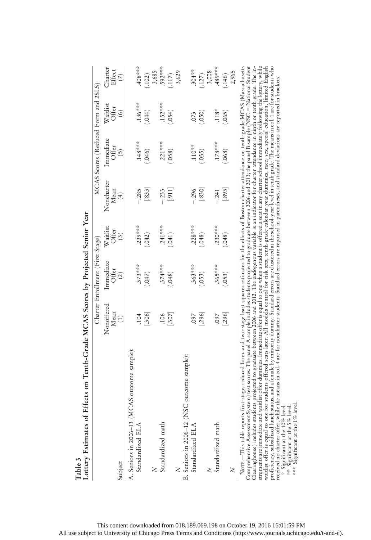| Effects on Tenth-Grade MCAS Scores by Projected Senior Year<br>Lottery Estimates of<br>Table 3                                                                                                                                                                                                                                                                                                                                                                                                                                                                                                                                                                                                                                                                                                                                                                                                                                                                                                                                                                                                                                                                                                                                                                                                                                                                                               |                                     |                                            |                                     |                                         |                                                 |                              |                                          |
|----------------------------------------------------------------------------------------------------------------------------------------------------------------------------------------------------------------------------------------------------------------------------------------------------------------------------------------------------------------------------------------------------------------------------------------------------------------------------------------------------------------------------------------------------------------------------------------------------------------------------------------------------------------------------------------------------------------------------------------------------------------------------------------------------------------------------------------------------------------------------------------------------------------------------------------------------------------------------------------------------------------------------------------------------------------------------------------------------------------------------------------------------------------------------------------------------------------------------------------------------------------------------------------------------------------------------------------------------------------------------------------------|-------------------------------------|--------------------------------------------|-------------------------------------|-----------------------------------------|-------------------------------------------------|------------------------------|------------------------------------------|
|                                                                                                                                                                                                                                                                                                                                                                                                                                                                                                                                                                                                                                                                                                                                                                                                                                                                                                                                                                                                                                                                                                                                                                                                                                                                                                                                                                                              |                                     | Charter Enrollment (First Stage)           |                                     |                                         | MCAS Scores (Reduced Form and 2SLS)             |                              |                                          |
| Subject                                                                                                                                                                                                                                                                                                                                                                                                                                                                                                                                                                                                                                                                                                                                                                                                                                                                                                                                                                                                                                                                                                                                                                                                                                                                                                                                                                                      | Nonoffered<br>Mean<br>$\widehat{E}$ | Immediate<br><b>Offer</b><br>$\widehat{c}$ | Waitlist<br>Offer<br>$\binom{3}{2}$ | Noncharter<br>Mean<br>$\left( 4\right)$ | Immediate<br>Offer<br>$\widetilde{\mathcal{L}}$ | Waitlist<br>Offer<br>$\odot$ | Charter<br>Effect<br>$\circlearrowright$ |
| A. Seniors in 2006-13 (MCAS outcome sample):<br>Standardized ELA                                                                                                                                                                                                                                                                                                                                                                                                                                                                                                                                                                                                                                                                                                                                                                                                                                                                                                                                                                                                                                                                                                                                                                                                                                                                                                                             | 104                                 | $373***$                                   | $.239***$                           | $-285$                                  | $.148***$                                       | $.136***$                    | .408***                                  |
|                                                                                                                                                                                                                                                                                                                                                                                                                                                                                                                                                                                                                                                                                                                                                                                                                                                                                                                                                                                                                                                                                                                                                                                                                                                                                                                                                                                              | [.306]                              | (047)                                      | (.042)                              | [.833]                                  | (.046)                                          | (.044)                       | 3,685<br>(.102)                          |
| Standardized math                                                                                                                                                                                                                                                                                                                                                                                                                                                                                                                                                                                                                                                                                                                                                                                                                                                                                                                                                                                                                                                                                                                                                                                                                                                                                                                                                                            | [307]<br>.106                       | 374***<br>(.048)                           | $.241***$<br>(.041)                 | [.911]<br>$-233$                        | $221***$<br>(.058)                              | $152***$<br>(.054)           | .592***<br>(.117)                        |
|                                                                                                                                                                                                                                                                                                                                                                                                                                                                                                                                                                                                                                                                                                                                                                                                                                                                                                                                                                                                                                                                                                                                                                                                                                                                                                                                                                                              |                                     |                                            |                                     |                                         |                                                 |                              | 3,629                                    |
| B. Seniors in 2006-12 (NSC outcome sample):<br>Standardized ELA                                                                                                                                                                                                                                                                                                                                                                                                                                                                                                                                                                                                                                                                                                                                                                                                                                                                                                                                                                                                                                                                                                                                                                                                                                                                                                                              | <b>C60</b>                          | $.363***$                                  | $.228***$                           | $-0.296$                                | $.110**$                                        | 073                          | $.304***$                                |
|                                                                                                                                                                                                                                                                                                                                                                                                                                                                                                                                                                                                                                                                                                                                                                                                                                                                                                                                                                                                                                                                                                                                                                                                                                                                                                                                                                                              | [.296]                              | (.053)                                     | (.048)                              | [.830]                                  | (.055)                                          | (050)                        | (127)                                    |
|                                                                                                                                                                                                                                                                                                                                                                                                                                                                                                                                                                                                                                                                                                                                                                                                                                                                                                                                                                                                                                                                                                                                                                                                                                                                                                                                                                                              |                                     |                                            |                                     |                                         |                                                 |                              | 3,008                                    |
| Standardized math                                                                                                                                                                                                                                                                                                                                                                                                                                                                                                                                                                                                                                                                                                                                                                                                                                                                                                                                                                                                                                                                                                                                                                                                                                                                                                                                                                            | <b>L60</b>                          | $.365***$                                  | $.230***$                           | $-.241$                                 | $.178***$                                       | $.118*$                      | ****68                                   |
| $\geq$                                                                                                                                                                                                                                                                                                                                                                                                                                                                                                                                                                                                                                                                                                                                                                                                                                                                                                                                                                                                                                                                                                                                                                                                                                                                                                                                                                                       | [.296]                              | (.053)                                     | (.048)                              | [.893]                                  | (.068)                                          | (.065)                       | 2,965<br>(.146)                          |
| struments are immediate and waitlist offer dummies. Immediate offer is equal to one when a student is offered a seat in any charter school immediately following the lottery, while<br>proficiency, subsidized lunch status, and a female by minority dummy. Standard errors are clustered at the school-year level in tenth grade. The means in col. 1 are for students who<br>NOTE.—This table reports first-stage, reduced_form, and two-stage least squares estimates for the effects of Boston charter attendance on tenth-grade MCAS (Massachusetts<br>Clearinghouse) includes students projected to graduate between 2006 and 2012. The endogenous variable is an indicator for charter attendance in ninth or tenth grade. The in-<br>System) test scores. The panel A sample includes students projected to graduate between 2006 and 2013; the panel B sample (NSC = National Student<br>waitlist offer is equal to one for students offered seats later. All models control for risk sets, tenth-grade calendar year dummies, race, sex, special education, limited English<br>received no charter offer, while the means in col. 4 are for noncharter students. Standard errors are reported in parentheses, and standard deviations are reported in brackets.<br>level<br>level<br>level<br>Comprehensive Assessment<br>*** Significant at the 1%<br>* Significant at the 10% 1 |                                     |                                            |                                     |                                         |                                                 |                              |                                          |

This content downloaded from 018.189.069.198 on October 19, 2016 16:01:59 PM All use subject to University of Chicago Press Terms and Conditions (http://www.journals.uchicago.edu/t-and-c).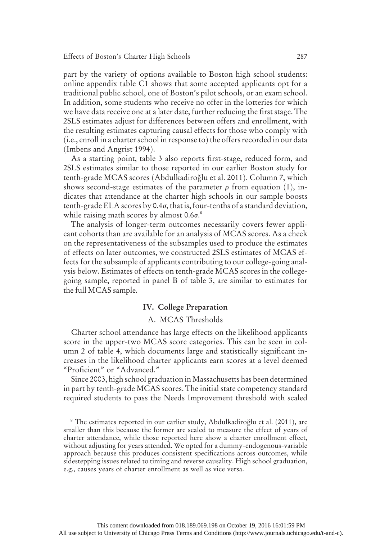part by the variety of options available to Boston high school students: online appendix table C1 shows that some accepted applicants opt for a traditional public school, one of Boston's pilot schools, or an exam school. In addition, some students who receive no offer in the lotteries for which we have data receive one at a later date, further reducing the first stage. The 2SLS estimates adjust for differences between offers and enrollment, with the resulting estimates capturing causal effects for those who comply with  $(i.e.,$  enroll in a charter school in response to) the offers recorded in our data (Imbens and Angrist 1994).

As a starting point, table 3 also reports first-stage, reduced form, and 2SLS estimates similar to those reported in our earlier Boston study for tenth-grade MCAS scores (Abdulkadiroğlu et al. 2011). Column 7, which shows second-stage estimates of the parameter  $\rho$  from equation (1), indicates that attendance at the charter high schools in our sample boosts tenth-grade ELA scores by  $0.4\sigma$ , that is, four-tenths of a standard deviation, while raising math scores by almost  $0.6\sigma$ .

The analysis of longer-term outcomes necessarily covers fewer applicant cohorts than are available for an analysis of MCAS scores. As a check on the representativeness of the subsamples used to produce the estimates of effects on later outcomes, we constructed 2SLS estimates of MCAS effects for the subsample of applicants contributing to our college-going analysis below. Estimates of effects on tenth-grade MCAS scores in the collegegoing sample, reported in panel B of table 3, are similar to estimates for the full MCAS sample.

# IV. College Preparation

# A. MCAS Thresholds

Charter school attendance has large effects on the likelihood applicants score in the upper-two MCAS score categories. This can be seen in column 2 of table 4, which documents large and statistically significant increases in the likelihood charter applicants earn scores at a level deemed "Proficient" or "Advanced."

Since 2003, high school graduation in Massachusetts has been determined in part by tenth-grade MCAS scores. The initial state competency standard required students to pass the Needs Improvement threshold with scaled

<sup>8</sup> The estimates reported in our earlier study, Abdulkadiroğlu et al. (2011), are smaller than this because the former are scaled to measure the effect of years of charter attendance, while those reported here show a charter enrollment effect, without adjusting for years attended. We opted for a dummy-endogenous-variable approach because this produces consistent specifications across outcomes, while sidestepping issues related to timing and reverse causality. High school graduation, e.g., causes years of charter enrollment as well as vice versa.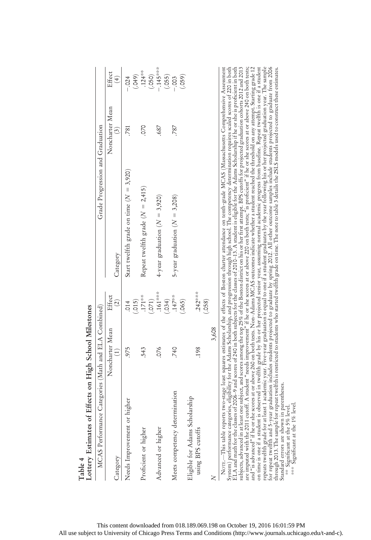| Noncharter Mean                                  |                              |
|--------------------------------------------------|------------------------------|
| $\left( \frac{3}{2} \right)$                     | Effect<br>$\left( 4 \right)$ |
| 781<br>Start twelfth grade on time $(N = 3,920)$ | $(0+0)$<br>$-.024$           |
| 070                                              | $.124***$<br>(.050)          |
| .687                                             | $-.145***$<br>(.055)         |
| 787                                              | (.059)<br>$-003$             |
|                                                  |                              |
|                                                  |                              |
|                                                  |                              |

Standard errors are shown in parentheses. \*\* Significant at the 5 % level. % level.

\*\*\* Significant at the 1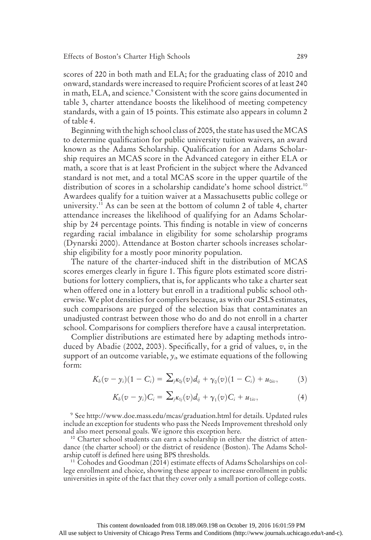scores of 220 in both math and ELA; for the graduating class of 2010 and onward, standards were increased to require Proficient scores of at least 240 in math, ELA, and science.<sup>9</sup> Consistent with the score gains documented in table 3, charter attendance boosts the likelihood of meeting competency standards, with a gain of 15 points. This estimate also appears in column 2 of table 4.

Beginning with the high school class of 2005, the state has used theMCAS to determine qualification for public university tuition waivers, an award known as the Adams Scholarship. Qualification for an Adams Scholarship requires an MCAS score in the Advanced category in either ELA or math, a score that is at least Proficient in the subject where the Advanced standard is not met, and a total MCAS score in the upper quartile of the distribution of scores in a scholarship candidate's home school district.<sup>10</sup> Awardees qualify for a tuition waiver at a Massachusetts public college or university.<sup>11</sup> As can be seen at the bottom of column 2 of table 4, charter attendance increases the likelihood of qualifying for an Adams Scholarship by 24 percentage points. This finding is notable in view of concerns regarding racial imbalance in eligibility for some scholarship programs (Dynarski 2000). Attendance at Boston charter schools increases scholarship eligibility for a mostly poor minority population.

The nature of the charter-induced shift in the distribution of MCAS scores emerges clearly in figure 1. This figure plots estimated score distributions for lottery compliers, that is, for applicants who take a charter seat when offered one in a lottery but enroll in a traditional public school otherwise. We plot densities for compliers because, as with our 2SLS estimates, such comparisons are purged of the selection bias that contaminates an unadjusted contrast between those who do and do not enroll in a charter school. Comparisons for compliers therefore have a causal interpretation.

Complier distributions are estimated here by adapting methods introduced by Abadie (2002, 2003). Specifically, for a grid of values,  $v$ , in the support of an outcome variable,  $y_i$ , we estimate equations of the following form:

$$
K_b(v - y_i)(1 - C_i) = \sum_{j} \kappa_{0j}(v) d_{ij} + \gamma_0(v)(1 - C_i) + u_{0iv}, \qquad (3)
$$

$$
K_b(v - y_i)C_i = \sum_{j}K_{1j}(v)d_{ij} + \gamma_1(v)C_i + u_{1iv}, \qquad (4)
$$

<sup>9</sup> See http://www.doe.mass.edu/mcas/graduation.html for details. Updated rules include an exception for students who pass the Needs Improvement threshold only and also meet personal goals. We ignore this exception here.<br><sup>10</sup> Charter school students can earn a scholarship in either the district of atten-

dance (the charter school) or the district of residence (Boston). The Adams Scholarship cutoff is defined here using BPS thresholds.

 $11$  Cohodes and Goodman (2014) estimate effects of Adams Scholarships on college enrollment and choice, showing these appear to increase enrollment in public universities in spite of the fact that they cover only a small portion of college costs.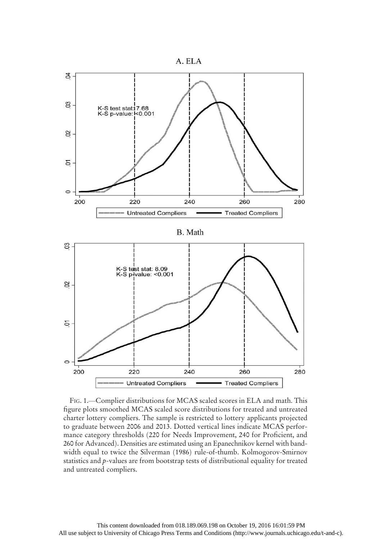



FIG. 1.—Complier distributions for MCAS scaled scores in ELA and math. This figure plots smoothed MCAS scaled score distributions for treated and untreated charter lottery compliers. The sample is restricted to lottery applicants projected to graduate between 2006 and 2013. Dotted vertical lines indicate MCAS performance category thresholds (220 for Needs Improvement, 240 for Proficient, and 260 for Advanced). Densities are estimated using an Epanechnikov kernel with bandwidth equal to twice the Silverman (1986) rule-of-thumb. Kolmogorov-Smirnov statistics and p-values are from bootstrap tests of distributional equality for treated and untreated compliers.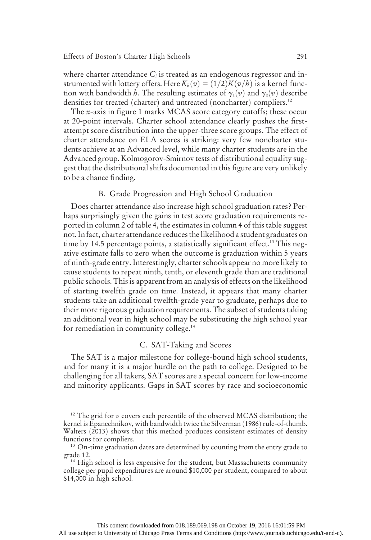where charter attendance  $C_i$  is treated as an endogenous regressor and instrumented with lottery offers. Here  $K_h(v)=(1/2)K(v/h)$  is a kernel function with bandwidth *h*. The resulting estimates of  $\gamma_1(v)$  and  $\gamma_0(v)$  describe densities for treated (charter) and untreated (noncharter) compliers.<sup>12</sup>

The x-axis in figure 1 marks MCAS score category cutoffs; these occur at 20-point intervals. Charter school attendance clearly pushes the firstattempt score distribution into the upper-three score groups. The effect of charter attendance on ELA scores is striking: very few noncharter students achieve at an Advanced level, while many charter students are in the Advanced group. Kolmogorov-Smirnov tests of distributional equality suggest that the distributional shifts documented in this figure are very unlikely to be a chance finding.

# B. Grade Progression and High School Graduation

Does charter attendance also increase high school graduation rates? Perhaps surprisingly given the gains in test score graduation requirements reported in column 2 of table 4, the estimates in column 4 of this table suggest not. In fact, charter attendance reduces the likelihood a student graduates on time by 14.5 percentage points, a statistically significant effect.<sup>13</sup> This negative estimate falls to zero when the outcome is graduation within 5 years of ninth-grade entry. Interestingly, charter schools appear no more likely to cause students to repeat ninth, tenth, or eleventh grade than are traditional public schools. This is apparent from an analysis of effects on the likelihood of starting twelfth grade on time. Instead, it appears that many charter students take an additional twelfth-grade year to graduate, perhaps due to their more rigorous graduation requirements. The subset of students taking an additional year in high school may be substituting the high school year for remediation in community college.<sup>14</sup>

# C. SAT-Taking and Scores

The SAT is a major milestone for college-bound high school students, and for many it is a major hurdle on the path to college. Designed to be challenging for all takers, SAT scores are a special concern for low-income and minority applicants. Gaps in SAT scores by race and socioeconomic

<sup>&</sup>lt;sup>12</sup> The grid for  $v$  covers each percentile of the observed MCAS distribution; the kernel is Epanechnikov, with bandwidth twice the Silverman (1986) rule-of-thumb. Walters (2013) shows that this method produces consistent estimates of density functions for compliers.

<sup>&</sup>lt;sup>13</sup> On-time graduation dates are determined by counting from the entry grade to grade 12.

<sup>&</sup>lt;sup>14</sup> High school is less expensive for the student, but Massachusetts community college per pupil expenditures are around \$10,000 per student, compared to about \$14,000 in high school.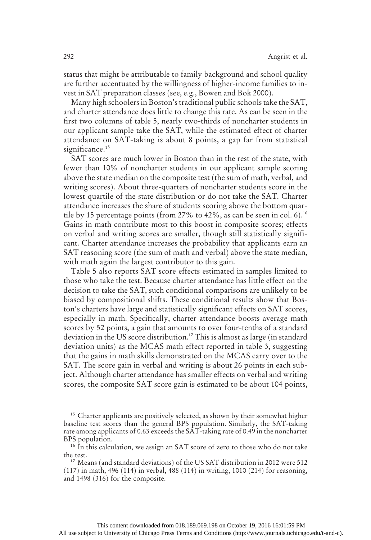status that might be attributable to family background and school quality are further accentuated by the willingness of higher-income families to invest in SAT preparation classes (see, e.g., Bowen and Bok 2000).

Many high schoolers in Boston's traditional public schools take the SAT, and charter attendance does little to change this rate. As can be seen in the first two columns of table 5, nearly two-thirds of noncharter students in our applicant sample take the SAT, while the estimated effect of charter attendance on SAT-taking is about 8 points, a gap far from statistical significance.<sup>15</sup>

SAT scores are much lower in Boston than in the rest of the state, with fewer than 10% of noncharter students in our applicant sample scoring above the state median on the composite test (the sum of math, verbal, and writing scores). About three-quarters of noncharter students score in the lowest quartile of the state distribution or do not take the SAT. Charter attendance increases the share of students scoring above the bottom quartile by 15 percentage points (from 27% to 42%, as can be seen in col. 6).<sup>16</sup> Gains in math contribute most to this boost in composite scores; effects on verbal and writing scores are smaller, though still statistically significant. Charter attendance increases the probability that applicants earn an SAT reasoning score (the sum of math and verbal) above the state median, with math again the largest contributor to this gain.

Table 5 also reports SAT score effects estimated in samples limited to those who take the test. Because charter attendance has little effect on the decision to take the SAT, such conditional comparisons are unlikely to be biased by compositional shifts. These conditional results show that Boston's charters have large and statistically significant effects on SAT scores, especially in math. Specifically, charter attendance boosts average math scores by 52 points, a gain that amounts to over four-tenths of a standard deviation in the US score distribution.<sup>17</sup> This is almost as large (in standard deviation units) as the MCAS math effect reported in table 3, suggesting that the gains in math skills demonstrated on the MCAS carry over to the SAT. The score gain in verbal and writing is about 26 points in each subject. Although charter attendance has smaller effects on verbal and writing scores, the composite SAT score gain is estimated to be about 104 points,

<sup>15</sup> Charter applicants are positively selected, as shown by their somewhat higher baseline test scores than the general BPS population. Similarly, the SAT-taking rate among applicants of 0.63 exceeds the SAT-taking rate of 0.49 in the noncharter BPS population.

<sup>16</sup> In this calculation, we assign an SAT score of zero to those who do not take the test.

 $17$  Means (and standard deviations) of the US SAT distribution in 2012 were 512 (117) in math, 496 (114) in verbal, 488 (114) in writing, 1010 (214) for reasoning, and  $1498$   $(316)$  for the composite.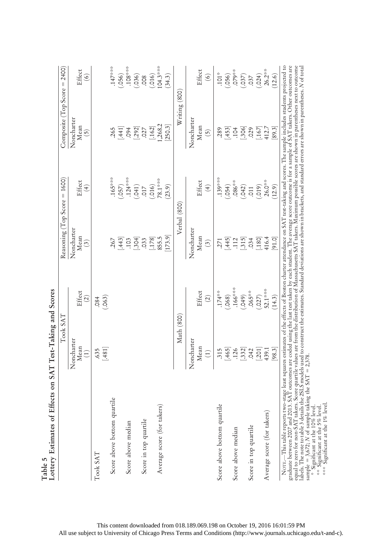| Lottery Estimates of<br>י אנטוג                                                                                                                                                                                                                                                                                                                                                                                                                                                                                                                                                                                                                                                                                                                                    | Effects on SAT Test-Taking and Scores                                                                                                                  |                         |                                      |                         |                                                 |                          |
|--------------------------------------------------------------------------------------------------------------------------------------------------------------------------------------------------------------------------------------------------------------------------------------------------------------------------------------------------------------------------------------------------------------------------------------------------------------------------------------------------------------------------------------------------------------------------------------------------------------------------------------------------------------------------------------------------------------------------------------------------------------------|--------------------------------------------------------------------------------------------------------------------------------------------------------|-------------------------|--------------------------------------|-------------------------|-------------------------------------------------|--------------------------|
|                                                                                                                                                                                                                                                                                                                                                                                                                                                                                                                                                                                                                                                                                                                                                                    | Took SAT                                                                                                                                               |                         | Reasoning (Top Score = 1600)         |                         | Composite (Top Score $= 2400$ )                 |                          |
|                                                                                                                                                                                                                                                                                                                                                                                                                                                                                                                                                                                                                                                                                                                                                                    | Noncharter<br>Mean<br>$\widehat{\Xi}$                                                                                                                  | Effect<br>$\widehat{c}$ | Noncharter<br>Mean<br>$\binom{3}{2}$ | Effect<br>$\mathcal{L}$ | Noncharter<br>Mean<br>$\widetilde{\mathcal{L}}$ | Effect<br>$\circledcirc$ |
| Took SAT                                                                                                                                                                                                                                                                                                                                                                                                                                                                                                                                                                                                                                                                                                                                                           | [.481]<br>635                                                                                                                                          | (.063)<br>.084          |                                      |                         |                                                 |                          |
| Score above bottom quartile                                                                                                                                                                                                                                                                                                                                                                                                                                                                                                                                                                                                                                                                                                                                        |                                                                                                                                                        |                         | 267                                  | $.165***$               | 265                                             | $.147***$                |
| Score above median                                                                                                                                                                                                                                                                                                                                                                                                                                                                                                                                                                                                                                                                                                                                                 |                                                                                                                                                        |                         | 443 <br>.103                         | $.124***$<br>(.057)     | [44]<br><b>+60</b>                              | $.108***$<br>(.056)      |
| Score in top quartile                                                                                                                                                                                                                                                                                                                                                                                                                                                                                                                                                                                                                                                                                                                                              |                                                                                                                                                        |                         | 304<br>.033                          | (.041)<br><b>O17</b>    | [.292]<br>.027                                  | (.036)<br>.008           |
|                                                                                                                                                                                                                                                                                                                                                                                                                                                                                                                                                                                                                                                                                                                                                                    |                                                                                                                                                        |                         | [.178]                               | (.016)                  | $[.162]$                                        | (.016)                   |
| Average score (for takers)                                                                                                                                                                                                                                                                                                                                                                                                                                                                                                                                                                                                                                                                                                                                         |                                                                                                                                                        |                         | [173.9]<br>855.5                     | 78.1***<br>(23.9)       | 1,268.2<br>[250.3]                              | $104.3***$<br>(34.3)     |
|                                                                                                                                                                                                                                                                                                                                                                                                                                                                                                                                                                                                                                                                                                                                                                    | Math (800)                                                                                                                                             |                         | Verbal (800                          |                         | Writing (800)                                   |                          |
|                                                                                                                                                                                                                                                                                                                                                                                                                                                                                                                                                                                                                                                                                                                                                                    | Noncharter                                                                                                                                             |                         | Noncharter                           |                         | Noncharter                                      |                          |
|                                                                                                                                                                                                                                                                                                                                                                                                                                                                                                                                                                                                                                                                                                                                                                    | Mean                                                                                                                                                   | Effect                  | Mean                                 | Effect                  | Mean                                            | Effect                   |
|                                                                                                                                                                                                                                                                                                                                                                                                                                                                                                                                                                                                                                                                                                                                                                    | $\widehat{\Xi}$                                                                                                                                        | $\boxed{2}$             | $\widehat{c}$                        | $\left( 4\right)$       | $\widetilde{5}$                                 | $\odot$                  |
| Score above bottom quartile                                                                                                                                                                                                                                                                                                                                                                                                                                                                                                                                                                                                                                                                                                                                        | 315                                                                                                                                                    | .174**                  | .271                                 | .139***                 | 289                                             | $.101*$                  |
|                                                                                                                                                                                                                                                                                                                                                                                                                                                                                                                                                                                                                                                                                                                                                                    | [.465]                                                                                                                                                 | (.068)                  | [445]                                | (.054)                  | [.453]                                          | (.056)                   |
| Score above median                                                                                                                                                                                                                                                                                                                                                                                                                                                                                                                                                                                                                                                                                                                                                 | [.332]<br>.126                                                                                                                                         | $.166***$<br>$(0+0)$    | [315]<br>112                         | $.086***$<br>(.042)     | .306<br>104                                     | .079**<br>(.037)         |
| Score in top quartile                                                                                                                                                                                                                                                                                                                                                                                                                                                                                                                                                                                                                                                                                                                                              | .042                                                                                                                                                   | $.065***$               | 034                                  | $\overline{0}11$        | .029                                            | 037                      |
| Average score (for takers)                                                                                                                                                                                                                                                                                                                                                                                                                                                                                                                                                                                                                                                                                                                                         | [.201]<br>439.1                                                                                                                                        | 52.1***<br>(.027)       | [.180]<br>416.4                      | $26.0***$<br>(019)      | 412.7<br>[.167]                                 | $26.2$ **<br>(.024)      |
|                                                                                                                                                                                                                                                                                                                                                                                                                                                                                                                                                                                                                                                                                                                                                                    | [98.3]                                                                                                                                                 | (14.3)                  | 0.16                                 | (12.9)                  | [89.3]                                          | (12.6)                   |
| graduate between 2007 and 2013. SAT outcomes are coded using the last test taken by each student. The average score outcome is for a sample of SAT takers. Other outcomes are<br>equal to zero for non-SAT takers. Score quartile values are from the distribution of Massachusetts SAT takers. Maximum possible scores are shown in parentheses next to outcome<br>labels. The note to table 3 details the 2SLS models used to construct the estimates. Standard deviations are shown in brackets, and standard errors are shown in parentheses. N of total<br>sample = 3,672; N of sample taking the SAT = 2,378.<br>* Significant at the 10% level.<br>level.<br>** Significant at the 5% level.<br>*** Significant at the 1% level<br>NOTE.-This table reports | two-stage least squares estimates of the effects of Boston charter attendance on SAT test-taking and scores. The sample includes students projected to |                         |                                      |                         |                                                 |                          |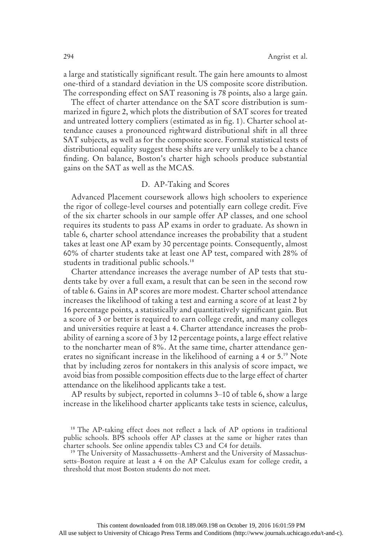a large and statistically significant result. The gain here amounts to almost one-third of a standard deviation in the US composite score distribution. The corresponding effect on SAT reasoning is 78 points, also a large gain.

The effect of charter attendance on the SAT score distribution is summarized in figure 2, which plots the distribution of SAT scores for treated and untreated lottery compliers (estimated as in fig. 1). Charter school attendance causes a pronounced rightward distributional shift in all three SAT subjects, as well as for the composite score. Formal statistical tests of distributional equality suggest these shifts are very unlikely to be a chance finding. On balance, Boston's charter high schools produce substantial gains on the SAT as well as the MCAS.

# D. AP-Taking and Scores

Advanced Placement coursework allows high schoolers to experience the rigor of college-level courses and potentially earn college credit. Five of the six charter schools in our sample offer AP classes, and one school requires its students to pass AP exams in order to graduate. As shown in table 6, charter school attendance increases the probability that a student takes at least one AP exam by 30 percentage points. Consequently, almost 60% of charter students take at least one AP test, compared with 28% of students in traditional public schools.<sup>18</sup>

Charter attendance increases the average number of AP tests that students take by over a full exam, a result that can be seen in the second row of table 6. Gains in AP scores are more modest. Charter school attendance increases the likelihood of taking a test and earning a score of at least 2 by 16 percentage points, a statistically and quantitatively significant gain. But a score of 3 or better is required to earn college credit, and many colleges and universities require at least a 4. Charter attendance increases the probability of earning a score of 3 by 12 percentage points, a large effect relative to the noncharter mean of 8%. At the same time, charter attendance generates no significant increase in the likelihood of earning a 4 or 5.19 Note that by including zeros for nontakers in this analysis of score impact, we avoid bias from possible composition effects due to the large effect of charter attendance on the likelihood applicants take a test.

AP results by subject, reported in columns 3–10 of table 6, show a large increase in the likelihood charter applicants take tests in science, calculus,

<sup>&</sup>lt;sup>18</sup> The AP-taking effect does not reflect a lack of AP options in traditional public schools. BPS schools offer AP classes at the same or higher rates than charter schools. See online appendix tables C3 and C4 for details.

<sup>&</sup>lt;sup>19</sup> The University of Massachussetts–Amherst and the University of Massachussetts–Boston require at least a 4 on the AP Calculus exam for college credit, a threshold that most Boston students do not meet.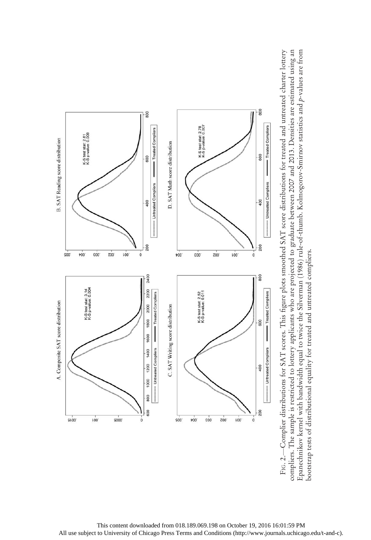

compliers. The sample is restricted to lottery applicants who are projected to graduate between 2007 and 2013. Densities are estimated using an Epanechnikov kernel with bandwidth equal to twice the Silverman (1986) rule-of-thumb. Kolmogorov-Smirnov statistics and p-values are from FIG. 2.—Complier distributions for SAT scores. This figure plots smoothed SAT score distributions for treated and untreated charter lottery —Complier distributions for SAT scores. This figure plots smoothed SAT score distributions for treated and untreated charter lottery compliers. The sample is restricted to lottery applicants who are projected to graduate between 2007 and 2013. Densities are estimated using an p-values are from Epanechnikov kernel with bandwidth equal to twice the Silverman (1986) rule-of-thumb. Kolmogorov-Smirnov statistics and bootstrap tests of distributional equality for treated and untreated compliers. bootstrap tests of distributional equality for treated and untreated compliers.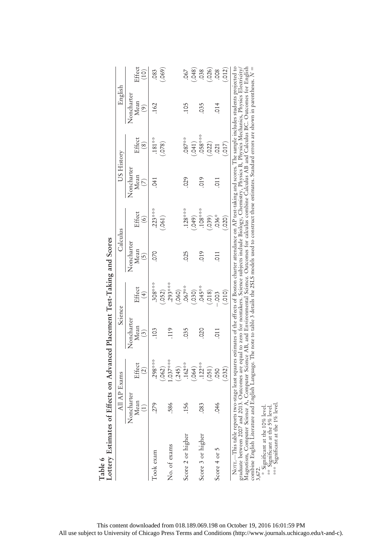| Lottery Estimates of                                                                                                                                                                                                                                                                                                                                                                                                                                                                                                                                                        |                           |                         | Effects on Advanced Placement Test-Taking and Scores |                             |                                                |                     |                                                 |                             |                                     |                             |
|-----------------------------------------------------------------------------------------------------------------------------------------------------------------------------------------------------------------------------------------------------------------------------------------------------------------------------------------------------------------------------------------------------------------------------------------------------------------------------------------------------------------------------------------------------------------------------|---------------------------|-------------------------|------------------------------------------------------|-----------------------------|------------------------------------------------|---------------------|-------------------------------------------------|-----------------------------|-------------------------------------|-----------------------------|
|                                                                                                                                                                                                                                                                                                                                                                                                                                                                                                                                                                             | All AP Exams              |                         | Science                                              |                             | Calculus                                       |                     | US History                                      |                             | English                             |                             |
|                                                                                                                                                                                                                                                                                                                                                                                                                                                                                                                                                                             | Noncharter<br>Mean<br>Ξ   | Effect<br>$\widehat{c}$ | Noncharter<br>Mean<br>(3)                            | Effect<br>$\left( 4\right)$ | Noncharter<br>Mean<br>$\widetilde{\mathbf{e}}$ | Effect<br>$\odot$   | Noncharter<br>Mean<br>$\widetilde{\mathcal{L}}$ | Effect<br>$\left( 8\right)$ | Noncharter<br>Mean<br>$\widehat{e}$ | Effect<br>$\left(10\right)$ |
| Took exam                                                                                                                                                                                                                                                                                                                                                                                                                                                                                                                                                                   | .279                      | $298***$<br>.062)       | .103                                                 | 308***<br>(052)             | 070                                            | $223***$<br>(.061)  | <b>FO</b> .                                     | $.181***$<br>(.078)         | .162                                | (.069)<br>.083              |
| No. of exams                                                                                                                                                                                                                                                                                                                                                                                                                                                                                                                                                                | .586                      | $.037***$<br>.245)      | .119                                                 | $.293***$<br>.060)          |                                                |                     |                                                 |                             |                                     |                             |
| Score 2 or higher                                                                                                                                                                                                                                                                                                                                                                                                                                                                                                                                                           | .156                      | $.162***$<br>.064)      | .035                                                 | $.067***$<br>(.030)         | .025                                           | $128***$<br>$(6+0)$ | .029                                            | $.087***$<br>(0.41)         | .105                                | $(8+0)$<br>067              |
| Score 3 or higher                                                                                                                                                                                                                                                                                                                                                                                                                                                                                                                                                           | .083                      | $122***$<br>(150)       | 020                                                  | $045**$<br>(.018)           | 019                                            | $108***$<br>(.039)  | 019                                             | $058***$<br>(022)           | 035                                 | (026)<br>.038               |
| Score 4 or 5                                                                                                                                                                                                                                                                                                                                                                                                                                                                                                                                                                | .046                      | (032)<br>050            | $\overline{0}1$                                      | (010)<br>$-0.003$           | $\overline{0}11$                               | $.036*$<br>(020)    | .011                                            | (017)<br>.021               | 014                                 | (.012)<br><b>SOC</b>        |
| Norr.—This table reports two-stage least squares estimates of the effects of Boston charter attendance on AP test-taking and scores. The sample includes students projected to<br>graduate between 2007 and 2013. Outcomes are eq<br>Magnetism, Computer Science A, Computer Science AB, and Environmental Science. Outcomes for calculus combine Calculus AB and Calculus BC. Corres for English combine English Literature and English Language. The note to tab<br>3,672.<br>* Significant at the 10% lev<br>** Significant at the 5% lev<br>*** Significant at the 1% l | level<br>level.<br>level. |                         |                                                      |                             |                                                |                     |                                                 |                             |                                     |                             |

÷ ŀ, ÷  $\overline{a}$  $\ddot{\phantom{0}}$ ्

Table 6

This content downloaded from 018.189.069.198 on October 19, 2016 16:01:59 PM All use subject to University of Chicago Press Terms and Conditions (http://www.journals.uchicago.edu/t-and-c).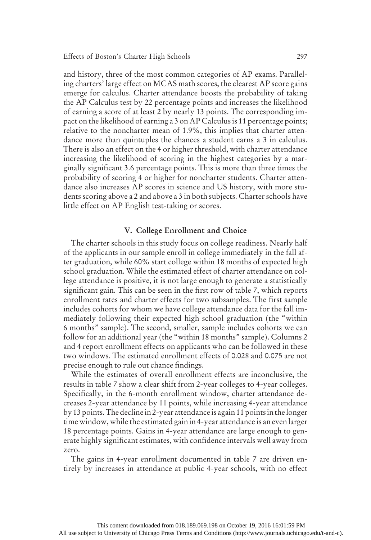and history, three of the most common categories of AP exams. Paralleling charters' large effect on MCAS math scores, the clearest AP score gains emerge for calculus. Charter attendance boosts the probability of taking the AP Calculus test by 22 percentage points and increases the likelihood of earning a score of at least 2 by nearly 13 points. The corresponding impact on the likelihood of earning a 3 on AP Calculus is 11 percentage points; relative to the noncharter mean of 1.9%, this implies that charter attendance more than quintuples the chances a student earns a 3 in calculus. There is also an effect on the 4 or higher threshold, with charter attendance increasing the likelihood of scoring in the highest categories by a marginally significant 3.6 percentage points. This is more than three times the probability of scoring 4 or higher for noncharter students. Charter attendance also increases AP scores in science and US history, with more students scoring above a 2 and above a 3 in both subjects. Charter schools have little effect on AP English test-taking or scores.

#### V. College Enrollment and Choice

The charter schools in this study focus on college readiness. Nearly half of the applicants in our sample enroll in college immediately in the fall after graduation, while 60% start college within 18 months of expected high school graduation. While the estimated effect of charter attendance on college attendance is positive, it is not large enough to generate a statistically significant gain. This can be seen in the first row of table 7, which reports enrollment rates and charter effects for two subsamples. The first sample includes cohorts for whom we have college attendance data for the fall immediately following their expected high school graduation (the "within 6 months" sample). The second, smaller, sample includes cohorts we can follow for an additional year (the "within 18 months" sample). Columns 2 and 4 report enrollment effects on applicants who can be followed in these two windows. The estimated enrollment effects of 0.028 and 0.075 are not precise enough to rule out chance findings.

While the estimates of overall enrollment effects are inconclusive, the results in table 7 show a clear shift from 2-year colleges to 4-year colleges. Specifically, in the 6-month enrollment window, charter attendance decreases 2-year attendance by 11 points, while increasing 4-year attendance by 13 points. The decline in 2-year attendance is again 11 points in the longer time window, while the estimated gain in 4-year attendance is an even larger 18 percentage points. Gains in 4-year attendance are large enough to generate highly significant estimates, with confidence intervals well away from zero.

The gains in 4-year enrollment documented in table 7 are driven entirely by increases in attendance at public 4-year schools, with no effect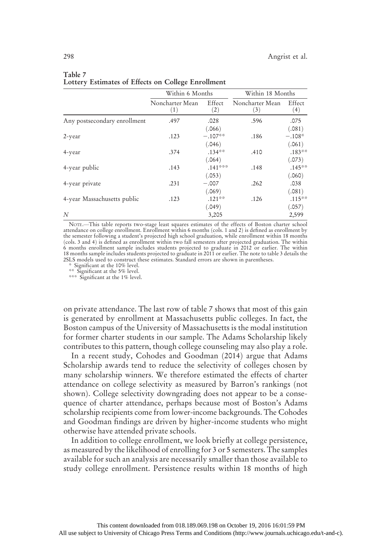|                              | Within 6 Months        |                     | Within 18 Months       |                     |
|------------------------------|------------------------|---------------------|------------------------|---------------------|
|                              | Noncharter Mean<br>(1) | Effect<br>(2)       | Noncharter Mean<br>(3) | Effect<br>(4)       |
| Any postsecondary enrollment | .497                   | .028<br>(.066)      | .596                   | .075<br>(.081)      |
| $2$ -year                    | .123                   | $-.107**$<br>(.046) | .186                   | $-.108*$<br>(.061)  |
| 4-year                       | .374                   | $.134***$<br>(.064) | .410                   | $.183***$<br>(.073) |
| 4-year public                | .143                   | $.141***$<br>(.053) | .148                   | $.145***$<br>(.060) |
| 4-year private               | .231                   | $-.007$<br>(.069)   | .262                   | .038<br>(.081)      |
| 4-year Massachusetts public  | .123                   | $.121***$<br>(.049) | .126                   | $.115***$<br>(.057) |
| N                            |                        | 3,205               |                        | 2,599               |

# Table 7 Lottery Estimates of Effects on College Enrollment

NOTE.—This table reports two-stage least squares estimates of the effects of Boston charter school attendance on college enrollment. Enrollment within 6 months (cols. 1 and 2) is defined as enrollment by the semester following a student's projected high school graduation, while enrollment within 18 months ðcols. 3 and 4Þ is defined as enrollment within two fall semesters after projected graduation. The within 6 months enrollment sample includes students projected to graduate in 2012 or earlier. The within 18 months sample includes students projected to graduate in 2011 or earlier. The note to table 3 details the 2SLS models used to construct these estimates. Standard errors are shown in parentheses.

\* Significant at the 10% level. \*\* Significant at the 5% level. \*\*\* Significant at the 1% level.

on private attendance. The last row of table 7 shows that most of this gain is generated by enrollment at Massachusetts public colleges. In fact, the Boston campus of the University of Massachusetts is the modal institution for former charter students in our sample. The Adams Scholarship likely contributes to this pattern, though college counseling may also play a role.

In a recent study, Cohodes and Goodman (2014) argue that Adams Scholarship awards tend to reduce the selectivity of colleges chosen by many scholarship winners. We therefore estimated the effects of charter attendance on college selectivity as measured by Barron's rankings (not shown). College selectivity downgrading does not appear to be a consequence of charter attendance, perhaps because most of Boston's Adams scholarship recipients come from lower-income backgrounds. The Cohodes and Goodman findings are driven by higher-income students who might otherwise have attended private schools.

In addition to college enrollment, we look briefly at college persistence, as measured by the likelihood of enrolling for 3 or 5 semesters. The samples available for such an analysis are necessarily smaller than those available to study college enrollment. Persistence results within 18 months of high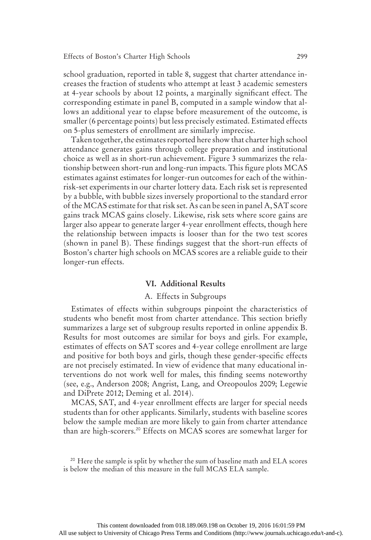school graduation, reported in table 8, suggest that charter attendance increases the fraction of students who attempt at least 3 academic semesters at 4-year schools by about 12 points, a marginally significant effect. The corresponding estimate in panel B, computed in a sample window that allows an additional year to elapse before measurement of the outcome, is smaller (6 percentage points) but less precisely estimated. Estimated effects on 5-plus semesters of enrollment are similarly imprecise.

Taken together, the estimates reported here show that charter high school attendance generates gains through college preparation and institutional choice as well as in short-run achievement. Figure 3 summarizes the relationship between short-run and long-run impacts. This figure plots MCAS estimates against estimates for longer-run outcomes for each of the withinrisk-set experiments in our charter lottery data. Each risk set is represented by a bubble, with bubble sizes inversely proportional to the standard error of the MCAS estimate for that risk set. As can be seen in panel A, SAT score gains track MCAS gains closely. Likewise, risk sets where score gains are larger also appear to generate larger 4-year enrollment effects, though here the relationship between impacts is looser than for the two test scores  $(s$ hown in panel B). These findings suggest that the short-run effects of Boston's charter high schools on MCAS scores are a reliable guide to their longer-run effects.

### VI. Additional Results

# A. Effects in Subgroups

Estimates of effects within subgroups pinpoint the characteristics of students who benefit most from charter attendance. This section briefly summarizes a large set of subgroup results reported in online appendix B. Results for most outcomes are similar for boys and girls. For example, estimates of effects on SAT scores and 4-year college enrollment are large and positive for both boys and girls, though these gender-specific effects are not precisely estimated. In view of evidence that many educational interventions do not work well for males, this finding seems noteworthy (see, e.g., Anderson 2008; Angrist, Lang, and Oreopoulos 2009; Legewie and DiPrete 2012; Deming et al. 2014).

MCAS, SAT, and 4-year enrollment effects are larger for special needs students than for other applicants. Similarly, students with baseline scores below the sample median are more likely to gain from charter attendance than are high-scorers.<sup>20</sup> Effects on MCAS scores are somewhat larger for

<sup>&</sup>lt;sup>20</sup> Here the sample is split by whether the sum of baseline math and ELA scores is below the median of this measure in the full MCAS ELA sample.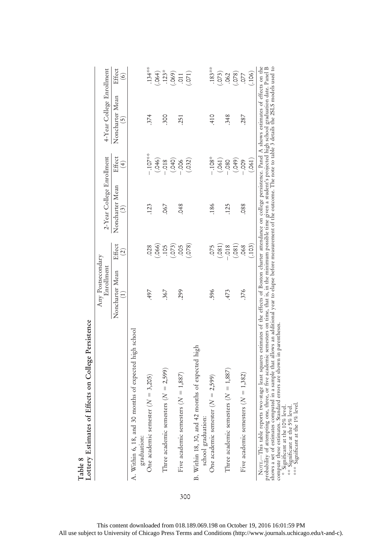|                                                                          | Any Postsecondary<br>Enrollment  |                             | 2-Year College Enrollment |                             | 4-Year College Enrollment          |                          |
|--------------------------------------------------------------------------|----------------------------------|-----------------------------|---------------------------|-----------------------------|------------------------------------|--------------------------|
|                                                                          | Noncharter Mean<br>$\widehat{E}$ | Effect<br>$\left( 2\right)$ | Noncharter Mean<br>(3)    | Effect<br>$\left( 4\right)$ | Noncharter Mean<br>$\widetilde{5}$ | Effect<br>$\circledcirc$ |
| months of expected high school<br>A. Within 6, 18, and 30<br>graduation: |                                  |                             |                           |                             |                                    |                          |
| One academic semester $(N = 3,205)$                                      | .497                             | 028                         | .123                      | $-.107**$                   | 374                                | $.134***$                |
|                                                                          |                                  | (.066)                      |                           | (.046)                      |                                    | (.064)                   |
| Three academic semesters $(N = 2,599)$                                   | 367                              | .105                        | .067                      | $-.018$                     | 300                                | $123*$                   |
|                                                                          |                                  | (.073)                      |                           | $(0+0.)$                    |                                    |                          |
| Five academic semesters $(N = 1,887)$                                    | 299                              | .005                        | 048                       | $-006$                      | 251                                | $(069)$<br>011           |
|                                                                          |                                  | (0.078)                     |                           | (.032)                      |                                    | (071)                    |
| B. Within 18, 30, and 42 months of expected high                         |                                  |                             |                           |                             |                                    |                          |
| school graduation:                                                       |                                  |                             |                           |                             |                                    |                          |
| One academic semester $(N = 2,599)$                                      | 596                              | 075                         | .186                      | $-108*$                     | .410                               | $.183**$                 |
|                                                                          |                                  | (.081)                      |                           | (.061)                      |                                    | (.073)                   |
| Three academic semesters $(N = 1,887)$                                   | 473                              | $-.018$                     | .125                      | $-0.80$                     | 348                                | .062                     |
|                                                                          |                                  | (.081)                      |                           | (0.049)                     |                                    | (.078)                   |
| Five academic semesters $(N = 1,382)$                                    | 376                              | .068                        | .088                      | $-000 -$                    | 287                                | 077                      |
|                                                                          |                                  | (.103)                      |                           | (.061)                      |                                    | (106)                    |

 $\epsilon$ þ,  $\zeta$  $\ddot{\cdot}$ Ů  $\ddot{\phantom{0}}$ Table 8

300

This content downloaded from 018.189.069.198 on October 19, 2016 16:01:59 PM All use subject to University of Chicago Press Terms and Conditions (http://www.journals.uchicago.edu/t-and-c).

\* Significant at the 10

\*\* Significant at the 5 \*\*\* Significant at the 1

% level. % level. % level.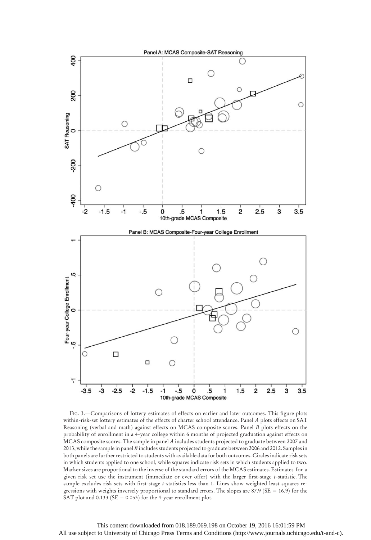

FIG. 3.—Comparisons of lottery estimates of effects on earlier and later outcomes. This figure plots within-risk-set lottery estimates of the effects of charter school attendance. Panel A plots effects on SAT Reasoning (verbal and math) against effects on MCAS composite scores. Panel B plots effects on the probability of enrollment in a 4-year college within 6 months of projected graduation against effects on MCAS composite scores. The sample in panel A includes students projected to graduate between 2007 and 2013, while the sample in panel B includes students projected to graduate between 2006 and 2012. Samples in both panels are further restricted to students with available data for both outcomes. Circles indicate risk sets in which students applied to one school, while squares indicate risk sets in which students applied to two. Marker sizes are proportional to the inverse of the standard errors of the MCAS estimates. Estimates for a given risk set use the instrument (immediate or ever offer) with the larger first-stage  $t$ -statistic. The sample excludes risk sets with first-stage t-statistics less than 1. Lines show weighted least squares regressions with weights inversely proportional to standard errors. The slopes are 87.9 ( $SE = 16.9$ ) for the SAT plot and 0.133 ( $SE = 0.053$ ) for the 4-year enrollment plot.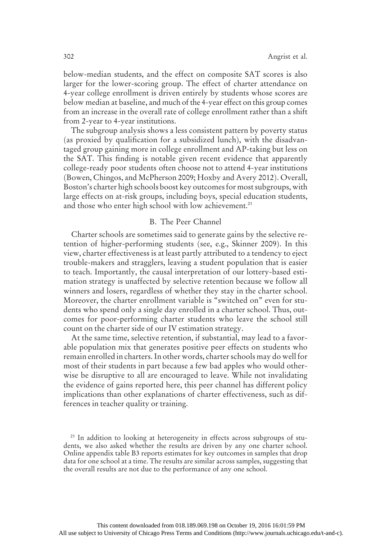below-median students, and the effect on composite SAT scores is also larger for the lower-scoring group. The effect of charter attendance on 4-year college enrollment is driven entirely by students whose scores are below median at baseline, and much of the 4-year effect on this group comes from an increase in the overall rate of college enrollment rather than a shift from 2-year to 4-year institutions.

The subgroup analysis shows a less consistent pattern by poverty status (as proxied by qualification for a subsidized lunch), with the disadvantaged group gaining more in college enrollment and AP-taking but less on the SAT. This finding is notable given recent evidence that apparently college-ready poor students often choose not to attend 4-year institutions (Bowen, Chingos, and McPherson 2009; Hoxby and Avery 2012). Overall, Boston's charter high schools boost key outcomes for most subgroups, with large effects on at-risk groups, including boys, special education students, and those who enter high school with low achievement.<sup>21</sup>

# B. The Peer Channel

Charter schools are sometimes said to generate gains by the selective retention of higher-performing students (see, e.g., Skinner 2009). In this view, charter effectiveness is at least partly attributed to a tendency to eject trouble-makers and stragglers, leaving a student population that is easier to teach. Importantly, the causal interpretation of our lottery-based estimation strategy is unaffected by selective retention because we follow all winners and losers, regardless of whether they stay in the charter school. Moreover, the charter enrollment variable is "switched on" even for students who spend only a single day enrolled in a charter school. Thus, outcomes for poor-performing charter students who leave the school still count on the charter side of our IV estimation strategy.

At the same time, selective retention, if substantial, may lead to a favorable population mix that generates positive peer effects on students who remain enrolled in charters. In other words, charter schools may do well for most of their students in part because a few bad apples who would otherwise be disruptive to all are encouraged to leave. While not invalidating the evidence of gains reported here, this peer channel has different policy implications than other explanations of charter effectiveness, such as differences in teacher quality or training.

<sup>21</sup> In addition to looking at heterogeneity in effects across subgroups of students, we also asked whether the results are driven by any one charter school. Online appendix table B3 reports estimates for key outcomes in samples that drop data for one school at a time. The results are similar across samples, suggesting that the overall results are not due to the performance of any one school.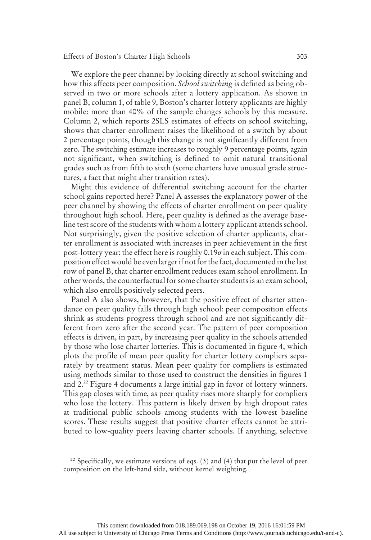#### Effects of Boston's Charter High Schools 303

We explore the peer channel by looking directly at school switching and how this affects peer composition. School switching is defined as being observed in two or more schools after a lottery application. As shown in panel B, column 1, of table 9, Boston's charter lottery applicants are highly mobile: more than 40% of the sample changes schools by this measure. Column 2, which reports 2SLS estimates of effects on school switching, shows that charter enrollment raises the likelihood of a switch by about 2 percentage points, though this change is not significantly different from zero. The switching estimate increases to roughly 9 percentage points, again not significant, when switching is defined to omit natural transitional grades such as from fifth to sixth (some charters have unusual grade structures, a fact that might alter transition rates).

Might this evidence of differential switching account for the charter school gains reported here? Panel A assesses the explanatory power of the peer channel by showing the effects of charter enrollment on peer quality throughout high school. Here, peer quality is defined as the average baseline test score of the students with whom a lottery applicant attends school. Not surprisingly, given the positive selection of charter applicants, charter enrollment is associated with increases in peer achievement in the first post-lottery year: the effect here is roughly  $0.19\sigma$  in each subject. This composition effect would be even larger if not for the fact, documented in the last row of panel B, that charter enrollment reduces exam school enrollment. In other words, the counterfactual for some charter students is an exam school, which also enrolls positively selected peers.

Panel A also shows, however, that the positive effect of charter attendance on peer quality falls through high school: peer composition effects shrink as students progress through school and are not significantly different from zero after the second year. The pattern of peer composition effects is driven, in part, by increasing peer quality in the schools attended by those who lose charter lotteries. This is documented in figure 4, which plots the profile of mean peer quality for charter lottery compliers separately by treatment status. Mean peer quality for compliers is estimated using methods similar to those used to construct the densities in figures 1 and 2.22 Figure 4 documents a large initial gap in favor of lottery winners. This gap closes with time, as peer quality rises more sharply for compliers who lose the lottery. This pattern is likely driven by high dropout rates at traditional public schools among students with the lowest baseline scores. These results suggest that positive charter effects cannot be attributed to low-quality peers leaving charter schools. If anything, selective

<sup>&</sup>lt;sup>22</sup> Specifically, we estimate versions of eqs.  $(3)$  and  $(4)$  that put the level of peer composition on the left-hand side, without kernel weighting.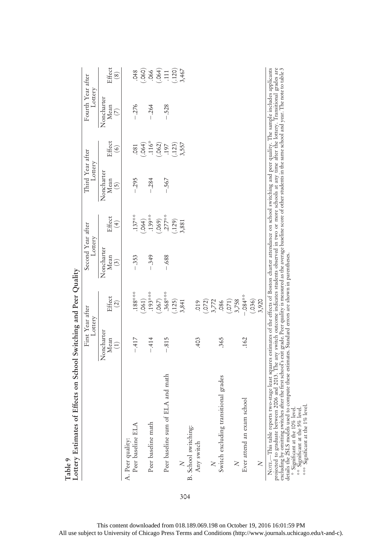| Effects on School Switching and Peer Quality<br>Lottery Estimates of<br>Table 9                                                                                                                                                                                                                                                                                                                                                                         |                                     |                    |                                         |                             |                                       |                   |                                   |                                    |
|---------------------------------------------------------------------------------------------------------------------------------------------------------------------------------------------------------------------------------------------------------------------------------------------------------------------------------------------------------------------------------------------------------------------------------------------------------|-------------------------------------|--------------------|-----------------------------------------|-----------------------------|---------------------------------------|-------------------|-----------------------------------|------------------------------------|
|                                                                                                                                                                                                                                                                                                                                                                                                                                                         | First Year after<br>Lottery         |                    | Second Year after<br>Lottery            |                             | Third Year after<br>Lottery           |                   | Fourth Year after<br>Lottery      |                                    |
|                                                                                                                                                                                                                                                                                                                                                                                                                                                         | Noncharter<br>Mean<br>$\widehat{E}$ | Effect<br>$(2)$    | Noncharter<br>Mean<br>$\left( 3\right)$ | Effect<br>$\left( 4\right)$ | Noncharter<br>Mean<br>$\widetilde{5}$ | Effect<br>$\odot$ | Noncharter<br>Mean<br>$(\bar{z})$ | Effect<br>$\circ$                  |
| A. Peer quality:<br>Peer baseline ELA                                                                                                                                                                                                                                                                                                                                                                                                                   | $-.417$                             | $188***$           | $-353$                                  | $.137***$                   | $-0.295$                              | 081               | $-276$                            | 048                                |
| Peer baseline math                                                                                                                                                                                                                                                                                                                                                                                                                                      | $-.414$                             | .193***<br>(.061)  | $-349$                                  | .139**<br>(.064)            | $-.284$                               | $.116*$<br>(.064) | $-.264$                           | (090)                              |
| ELA and math<br>Peer baseline sum of                                                                                                                                                                                                                                                                                                                                                                                                                    | $-.815$                             | $368***$<br>(.067) | $-.688$                                 | $.277***$<br>(.069)         | $-.567$                               | (.062)<br>.197    | $-528$                            | $066$<br>$064$<br>$1120$<br>$1120$ |
|                                                                                                                                                                                                                                                                                                                                                                                                                                                         |                                     | (.125)<br>3,841    |                                         | (129)<br>3,881              |                                       | 3,557<br>(.123)   |                                   | ,467                               |
| B. School switching:<br>Any switch                                                                                                                                                                                                                                                                                                                                                                                                                      | 403                                 | 019                |                                         |                             |                                       |                   |                                   |                                    |
|                                                                                                                                                                                                                                                                                                                                                                                                                                                         |                                     | $(.072)$<br>3,772  |                                         |                             |                                       |                   |                                   |                                    |
| Switch excluding transitional grades                                                                                                                                                                                                                                                                                                                                                                                                                    | 365                                 | (0.071)<br>086     |                                         |                             |                                       |                   |                                   |                                    |
|                                                                                                                                                                                                                                                                                                                                                                                                                                                         |                                     | 3,758              |                                         |                             |                                       |                   |                                   |                                    |
| school<br>Ever attend an exam                                                                                                                                                                                                                                                                                                                                                                                                                           | .162                                | $.084***$          |                                         |                             |                                       |                   |                                   |                                    |
| Z                                                                                                                                                                                                                                                                                                                                                                                                                                                       |                                     | (.036)<br>3,920    |                                         |                             |                                       |                   |                                   |                                    |
| NorE.—This table reports two-stage least squares estimates of the effects of Boston charter attendance on school switching and peer quality. The sample includes applicants<br>projected to graduate between 2006 and 2013. The a<br>to compute these estimates. Standard errors are shown in parentheses.<br>level.<br>* Significant at the 10% level.<br>** Significant at the 5% level.<br>details the 2SLS models used<br>*** Significant at the 1% |                                     |                    |                                         |                             |                                       |                   |                                   |                                    |

304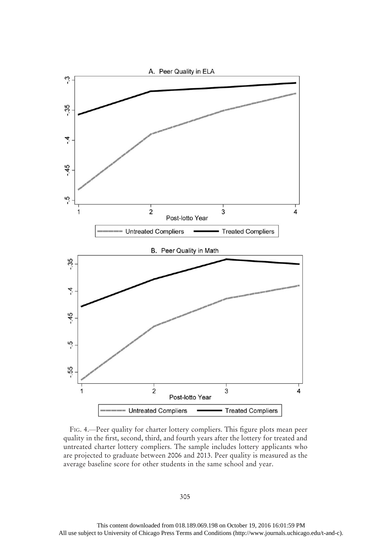

FIG. 4.—Peer quality for charter lottery compliers. This figure plots mean peer quality in the first, second, third, and fourth years after the lottery for treated and untreated charter lottery compliers. The sample includes lottery applicants who are projected to graduate between 2006 and 2013. Peer quality is measured as the average baseline score for other students in the same school and year.

This content downloaded from 018.189.069.198 on October 19, 2016 16:01:59 PM All use subject to University of Chicago Press Terms and Conditions (http://www.journals.uchicago.edu/t-and-c).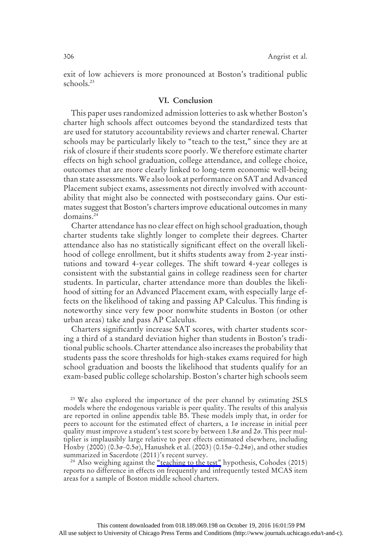exit of low achievers is more pronounced at Boston's traditional public schools.<sup>23</sup>

# VI. Conclusion

This paper uses randomized admission lotteries to ask whether Boston's charter high schools affect outcomes beyond the standardized tests that are used for statutory accountability reviews and charter renewal. Charter schools may be particularly likely to "teach to the test," since they are at risk of closure if their students score poorly. We therefore estimate charter effects on high school graduation, college attendance, and college choice, outcomes that are more clearly linked to long-term economic well-being than state assessments. We also look at performance on SAT and Advanced Placement subject exams, assessments not directly involved with accountability that might also be connected with postsecondary gains. Our estimates suggest that Boston's charters improve educational outcomes in many domains.<sup>24</sup>

Charter attendance has no clear effect on high school graduation, though charter students take slightly longer to complete their degrees. Charter attendance also has no statistically significant effect on the overall likelihood of college enrollment, but it shifts students away from 2-year institutions and toward 4-year colleges. The shift toward 4-year colleges is consistent with the substantial gains in college readiness seen for charter students. In particular, charter attendance more than doubles the likelihood of sitting for an Advanced Placement exam, with especially large effects on the likelihood of taking and passing AP Calculus. This finding is noteworthy since very few poor nonwhite students in Boston (or other urban areas) take and pass AP Calculus.

Charters significantly increase SAT scores, with charter students scoring a third of a standard deviation higher than students in Boston's traditional public schools. Charter attendance also increases the probability that students pass the score thresholds for high-stakes exams required for high school graduation and boosts the likelihood that students qualify for an exam-based public college scholarship. Boston's charter high schools seem

<sup>23</sup> We also explored the importance of the peer channel by estimating 2SLS models where the endogenous variable is peer quality. The results of this analysis are reported in online appendix table B5. These models imply that, in order for peers to account for the estimated effect of charters, a  $1\sigma$  increase in initial peer quality must improve a student's test score by between 1.8 $\sigma$  and 2 $\sigma$ . This peer multiplier is implausibly large relative to peer effects estimated elsewhere, including Hoxby  $(2000)(0.3\sigma-0.5\sigma)$ , Hanushek et al.  $(2003)(0.15\sigma-0.24\sigma)$ , and other studies summarized in Sacerdote  $(2011)$ 's recent survey.

<sup>24</sup> Also weighing against the ["teaching to the test"](http://www.journals.uchicago.edu/action/showLinks?crossref=10.1093%2Fqje%2Fqjr017) hypothesis, Cohodes (2015) reports no difference in effects on frequently and infrequently tested MCAS item areas for a sample of Boston middle school charters.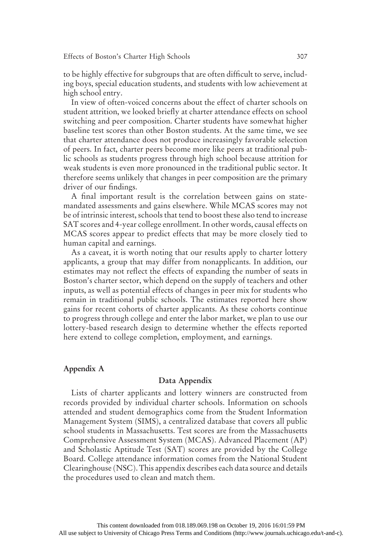to be highly effective for subgroups that are often difficult to serve, including boys, special education students, and students with low achievement at high school entry.

In view of often-voiced concerns about the effect of charter schools on student attrition, we looked briefly at charter attendance effects on school switching and peer composition. Charter students have somewhat higher baseline test scores than other Boston students. At the same time, we see that charter attendance does not produce increasingly favorable selection of peers. In fact, charter peers become more like peers at traditional public schools as students progress through high school because attrition for weak students is even more pronounced in the traditional public sector. It therefore seems unlikely that changes in peer composition are the primary driver of our findings.

A final important result is the correlation between gains on statemandated assessments and gains elsewhere. While MCAS scores may not be of intrinsic interest, schools that tend to boost these also tend to increase SAT scores and 4-year college enrollment. In other words, causal effects on MCAS scores appear to predict effects that may be more closely tied to human capital and earnings.

As a caveat, it is worth noting that our results apply to charter lottery applicants, a group that may differ from nonapplicants. In addition, our estimates may not reflect the effects of expanding the number of seats in Boston's charter sector, which depend on the supply of teachers and other inputs, as well as potential effects of changes in peer mix for students who remain in traditional public schools. The estimates reported here show gains for recent cohorts of charter applicants. As these cohorts continue to progress through college and enter the labor market, we plan to use our lottery-based research design to determine whether the effects reported here extend to college completion, employment, and earnings.

#### Appendix A

# Data Appendix

Lists of charter applicants and lottery winners are constructed from records provided by individual charter schools. Information on schools attended and student demographics come from the Student Information Management System (SIMS), a centralized database that covers all public school students in Massachusetts. Test scores are from the Massachusetts Comprehensive Assessment System (MCAS). Advanced Placement (AP) and Scholastic Aptitude Test (SAT) scores are provided by the College Board. College attendance information comes from the National Student Clearinghouse (NSC). This appendix describes each data source and details the procedures used to clean and match them.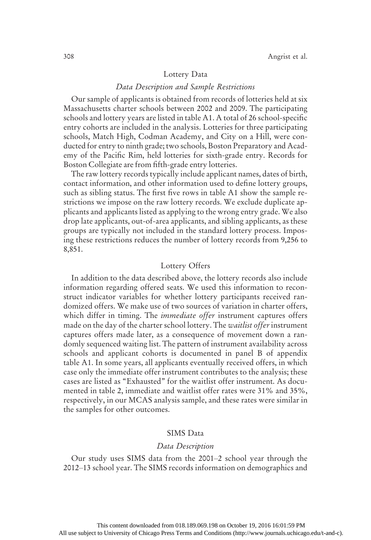### Lottery Data

#### Data Description and Sample Restrictions

Our sample of applicants is obtained from records of lotteries held at six Massachusetts charter schools between 2002 and 2009. The participating schools and lottery years are listed in table A1. A total of 26 school-specific entry cohorts are included in the analysis. Lotteries for three participating schools, Match High, Codman Academy, and City on a Hill, were conducted for entry to ninth grade; two schools, Boston Preparatory and Academy of the Pacific Rim, held lotteries for sixth-grade entry. Records for Boston Collegiate are from fifth-grade entry lotteries.

The raw lottery records typically include applicant names, dates of birth, contact information, and other information used to define lottery groups, such as sibling status. The first five rows in table A1 show the sample restrictions we impose on the raw lottery records. We exclude duplicate applicants and applicants listed as applying to the wrong entry grade. We also drop late applicants, out-of-area applicants, and sibling applicants, as these groups are typically not included in the standard lottery process. Imposing these restrictions reduces the number of lottery records from 9,256 to 8,851.

# Lottery Offers

In addition to the data described above, the lottery records also include information regarding offered seats. We used this information to reconstruct indicator variables for whether lottery participants received randomized offers. We make use of two sources of variation in charter offers, which differ in timing. The *immediate offer* instrument captures offers made on the day of the charter school lottery. The *waitlist offer* instrument captures offers made later, as a consequence of movement down a randomly sequenced waiting list. The pattern of instrument availability across schools and applicant cohorts is documented in panel B of appendix table A1. In some years, all applicants eventually received offers, in which case only the immediate offer instrument contributes to the analysis; these cases are listed as "Exhausted" for the waitlist offer instrument. As documented in table 2, immediate and waitlist offer rates were 31% and 35%, respectively, in our MCAS analysis sample, and these rates were similar in the samples for other outcomes.

#### SIMS Data

#### Data Description

Our study uses SIMS data from the 2001–2 school year through the 2012–13 school year. The SIMS records information on demographics and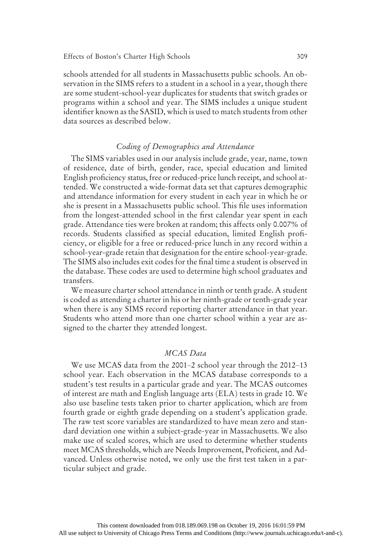schools attended for all students in Massachusetts public schools. An observation in the SIMS refers to a student in a school in a year, though there are some student-school-year duplicates for students that switch grades or programs within a school and year. The SIMS includes a unique student identifier known as the SASID, which is used to match students from other data sources as described below.

# Coding of Demographics and Attendance

The SIMS variables used in our analysis include grade, year, name, town of residence, date of birth, gender, race, special education and limited English proficiency status, free or reduced-price lunch receipt, and school attended. We constructed a wide-format data set that captures demographic and attendance information for every student in each year in which he or she is present in a Massachusetts public school. This file uses information from the longest-attended school in the first calendar year spent in each grade. Attendance ties were broken at random; this affects only 0.007% of records. Students classified as special education, limited English proficiency, or eligible for a free or reduced-price lunch in any record within a school-year-grade retain that designation for the entire school-year-grade. The SIMS also includes exit codes for the final time a student is observed in the database. These codes are used to determine high school graduates and transfers.

We measure charter school attendance in ninth or tenth grade. A student is coded as attending a charter in his or her ninth-grade or tenth-grade year when there is any SIMS record reporting charter attendance in that year. Students who attend more than one charter school within a year are assigned to the charter they attended longest.

# MCAS Data

We use MCAS data from the 2001–2 school year through the 2012–13 school year. Each observation in the MCAS database corresponds to a student's test results in a particular grade and year. The MCAS outcomes of interest are math and English language arts (ELA) tests in grade 10. We also use baseline tests taken prior to charter application, which are from fourth grade or eighth grade depending on a student's application grade. The raw test score variables are standardized to have mean zero and standard deviation one within a subject-grade-year in Massachusetts. We also make use of scaled scores, which are used to determine whether students meet MCAS thresholds, which are Needs Improvement, Proficient, and Advanced. Unless otherwise noted, we only use the first test taken in a particular subject and grade.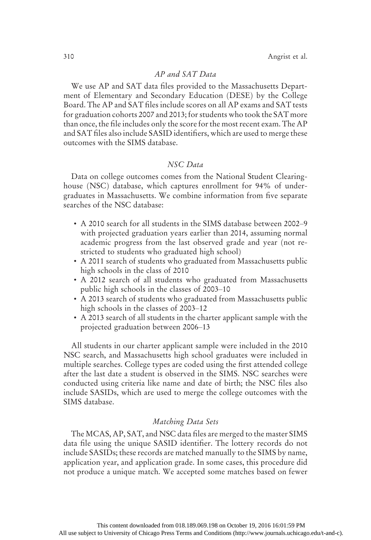# AP and SAT Data

We use AP and SAT data files provided to the Massachusetts Department of Elementary and Secondary Education (DESE) by the College Board. The AP and SAT files include scores on all AP exams and SAT tests for graduation cohorts 2007 and 2013; for students who took the SAT more than once, the file includes only the score for the most recent exam. The AP and SAT files also include SASID identifiers, which are used to merge these outcomes with the SIMS database.

# NSC Data

Data on college outcomes comes from the National Student Clearinghouse (NSC) database, which captures enrollment for 94% of undergraduates in Massachusetts. We combine information from five separate searches of the NSC database:

- A 2010 search for all students in the SIMS database between 2002–9 with projected graduation years earlier than 2014, assuming normal academic progress from the last observed grade and year (not restricted to students who graduated high school)
- A 2011 search of students who graduated from Massachusetts public high schools in the class of 2010
- A 2012 search of all students who graduated from Massachusetts public high schools in the classes of 2003–10
- A 2013 search of students who graduated from Massachusetts public high schools in the classes of 2003–12
- A 2013 search of all students in the charter applicant sample with the projected graduation between 2006–13

All students in our charter applicant sample were included in the 2010 NSC search, and Massachusetts high school graduates were included in multiple searches. College types are coded using the first attended college after the last date a student is observed in the SIMS. NSC searches were conducted using criteria like name and date of birth; the NSC files also include SASIDs, which are used to merge the college outcomes with the SIMS database.

# Matching Data Sets

The MCAS, AP, SAT, and NSC data files are merged to the master SIMS data file using the unique SASID identifier. The lottery records do not include SASIDs; these records are matched manually to the SIMS by name, application year, and application grade. In some cases, this procedure did not produce a unique match. We accepted some matches based on fewer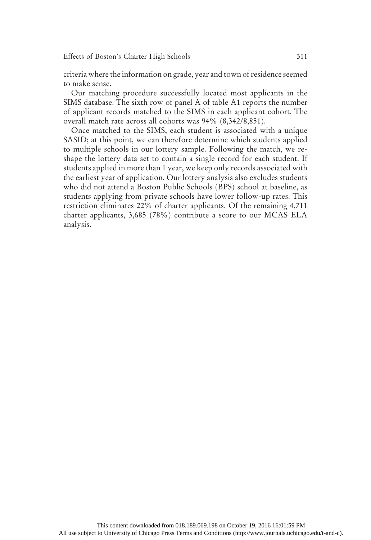Effects of Boston's Charter High Schools 311

criteria where the information on grade, year and town of residence seemed to make sense.

Our matching procedure successfully located most applicants in the SIMS database. The sixth row of panel A of table A1 reports the number of applicant records matched to the SIMS in each applicant cohort. The overall match rate across all cohorts was 94% (8,342/8,851).

Once matched to the SIMS, each student is associated with a unique SASID; at this point, we can therefore determine which students applied to multiple schools in our lottery sample. Following the match, we reshape the lottery data set to contain a single record for each student. If students applied in more than 1 year, we keep only records associated with the earliest year of application. Our lottery analysis also excludes students who did not attend a Boston Public Schools (BPS) school at baseline, as students applying from private schools have lower follow-up rates. This restriction eliminates 22% of charter applicants. Of the remaining 4,711 charter applicants,  $3,685$  (78%) contribute a score to our MCAS ELA analysis.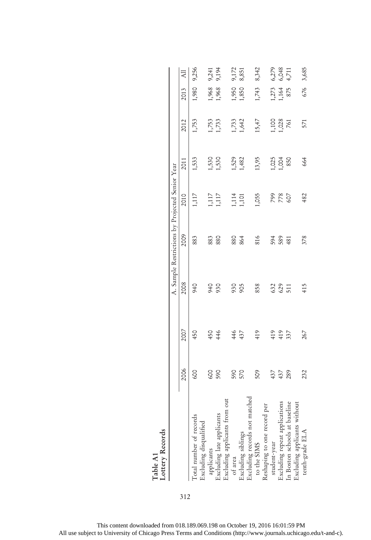| Lottery Records<br>Table A1                       |            |      |            |                                                 |                       |                |                    |       |                         |
|---------------------------------------------------|------------|------|------------|-------------------------------------------------|-----------------------|----------------|--------------------|-------|-------------------------|
|                                                   |            |      |            | A. Sample Restrictions by Projected Senior Year |                       |                |                    |       |                         |
|                                                   | 2006       | 2007 | 2008       | 2009                                            | 2010                  | 2011           | 2012               | 2013  | All                     |
| Total number of records<br>Excluding disqualified | 600        | 450  | 940        | 883                                             | 1,117                 | 1,533          | 1,753              | 1,980 | 9,256                   |
| applicants                                        | 600        | 450  | 940        | 883                                             |                       |                |                    |       | 9,241                   |
| Excluding late applicants                         | 590        | 446  | 930        | 880                                             | $\frac{1,117}{1,117}$ | 1,530<br>1,530 | 1,753<br>1,733     | 1,968 | 9,194                   |
| Excluding applicants from out                     |            |      |            |                                                 |                       |                |                    |       |                         |
| of area                                           | 590        | 446  | 930        | 880                                             |                       | 1,529          |                    | 1,950 |                         |
| Excluding siblings                                | 570        | 437  | 905        | 864                                             | $1,114$<br>$1,101$    | 1,482          | $1,733$<br>$1,642$ | 1,850 | 9,172<br>8,851          |
| Excluding records not matched                     |            |      |            |                                                 |                       |                |                    |       |                         |
| to the SIMS                                       | 509        | 419  | 858        | 816                                             | 1,055                 | 13,95          | 15,47              | 1,743 | 8,342                   |
| Reshaping to one record per                       |            |      |            |                                                 |                       |                |                    |       |                         |
| student-year                                      |            | 419  |            | 594                                             |                       |                |                    |       |                         |
| Excluding repeat applications                     | 437<br>437 | 419  | 632<br>629 | 589                                             | 799<br>778<br>607     | 1,025          | 1,100<br>1,028     | 1,164 | 6,279<br>6,048<br>4,711 |
| <i>seline</i><br>In Boston schools at ba          | 289        | 337  | 511        | 481                                             |                       | 850            | 761                | 875   |                         |
| ithout<br>Excluding applicants wi                 |            |      |            |                                                 |                       |                |                    |       |                         |
| tenth-grade ELA                                   | 232        | 267  | 415        | 378                                             | 482                   | 664            | 571                | 676   | 3,685                   |

312

This content downloaded from 018.189.069.198 on October 19, 2016 16:01:59 PM All use subject to University of Chicago Press Terms and Conditions (http://www.journals.uchicago.edu/t-and-c).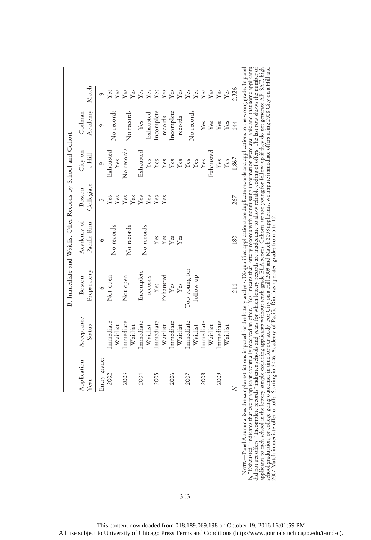| Application  | Acceptance            | Boston                     | Academy of  | Boston           | City on          | Codman           |                  |
|--------------|-----------------------|----------------------------|-------------|------------------|------------------|------------------|------------------|
| Year         | Status                | Preparatory                | Pacific Rim | Collegiate       | IHI<br>a         | Academy          | Match            |
| Entry grade: |                       | $\circ$                    | ی           |                  | ᡋ                | ٩                |                  |
| 2002         | Immediate<br>Waitlist | Not open                   | No records  | $Y$ es<br>$Y$ es | Exhausted<br>Yes | No records       | Yes<br>Yes       |
| 2003         | Immediate<br>Waitlist | Not open                   | No records  | Yes<br>$Y$ es    | No records       | No records       | Ýes<br>Yes       |
| 2004         | Immediate<br>Waitlist | Incomplete<br>records      | No records  | Yes<br>Yes       | Exhausted<br>Yes | Exhausted<br>Yes | $Y$ es<br>$Y$ es |
| 2005         | Immediate             | Yes                        | Yes         | Yes              | Yes              | Incomplete       | $Y$ es           |
|              | Waitlist              | Exhausted                  | Yes         | $Y$ es           | Yes              | records          | $Y$ es           |
| 2006         | Immediate             | Yes                        | Yes         |                  | Yes              | Incomplete       | Yes              |
|              | Waitlist              | Yes                        | Yes         |                  | Yes              | records          | Yes              |
| 2007         | Immediate<br>Waitlist | Too young tor<br>tollow-up |             |                  | Yes<br>Yes       | No records       | Yes<br>Yes       |
| 2008         | Immediate             |                            |             |                  | Yes              | Yes              | Yes              |
|              | Waitlist              |                            |             |                  | Exhausted        | $\mathbf{Yes}$   | Yes              |
| 2009         | Immediate             |                            |             |                  | Yes              | Yes              | Yes              |
|              | Waitlist              |                            |             |                  | Yes              | Yes              | Yes              |
| $\geq$       |                       | 211                        | 180         | 267              | 1,867            | 144              | 2,326            |

 $\overline{\phantom{a}}$  3 Norr.—Panel A summarizes the sample restrictions imposed for the lottery analysis. Disqualified applications are duplicate records and applications to the wrong grade. In panel<br>B, "Exhausted" indicates that every applicant NOTE.—Panel A summarizes the sample restrictions imposed for the lottery analysis. Disqualified applications are duplicate records and applications to the wrong grade. In panel B, "Exhausted" indicates that every applicant eventually received an offer. "Yes" means that lottery records with nonmissing information were available and that some applicants did not get offers. "Incomplete records" indicates schools and years for which lottery records are inadequate to allow reliable coding of offers. The last row shows the number of applicants to each school in the lottery sample excluding applicants without tenth-grade ELA scores. Cohorts are too young for follow-up if they do not generate AP, SAT, high school graduation, or college-going outcomes in time for our study. For City on a Hill 2009 and Match 2008 applicants, we impute immediate offers using 2008 City on a Hill and 2007 Match immediate offer cutoffs. Starting in 2006, Academy of Pacific Rim has operated grades from 5 to 12.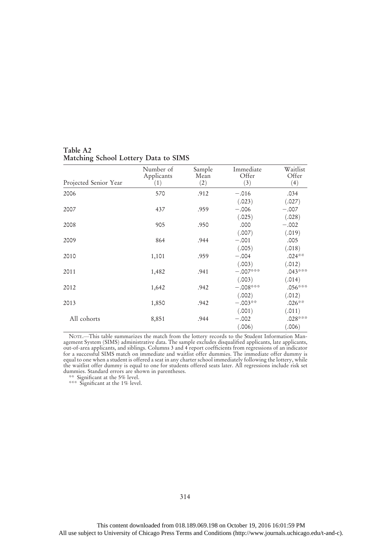| Projected Senior Year | Number of<br>Applicants<br>(1) | Sample<br>Mean<br>(2) | Immediate<br>Offer<br>(3) | Waitlist<br>Offer<br>(4) |
|-----------------------|--------------------------------|-----------------------|---------------------------|--------------------------|
| 2006                  | 570                            | .912                  | $-.016$                   | .034                     |
|                       |                                |                       | (.023)                    | (.027)                   |
| 2007                  | 437                            | .959                  | $-.006$                   | $-.007$                  |
|                       |                                |                       | (.025)                    | (.028)                   |
| 2008                  | 905                            | .950                  | .000                      | $-.002$                  |
|                       |                                |                       | (.007)                    | (.019)                   |
| 2009                  | 864                            | .944                  | $-.001$                   | .005                     |
|                       |                                |                       | (.005)                    | (.018)                   |
| 2010                  | 1,101                          | .959                  | $-.004$                   | $.024***$                |
|                       |                                |                       | (.003)                    | (.012)                   |
| 2011                  | 1,482                          | .941                  | $-.007***$                | $.043***$                |
|                       |                                |                       | (.003)                    | (.014)                   |
| 2012                  | 1,642                          | .942                  | $-.008***$                | $.056***$                |
|                       |                                |                       | (.002)                    | (.012)                   |
| 2013                  | 1,850                          | .942                  | $-.003**$                 | $.026***$                |
|                       |                                |                       | (.001)                    | (.011)                   |
| All cohorts           | 8,851                          | .944                  | $-.002$                   | $.028***$                |
|                       |                                |                       | (.006)                    | (.006)                   |

#### Table A2 Matching School Lottery Data to SIMS

NOTE.—This table summarizes the match from the lottery records to the Student Information Management System (SIMS) administrative data. The sample excludes disqualified applicants, late applicants, out-of-area applicants,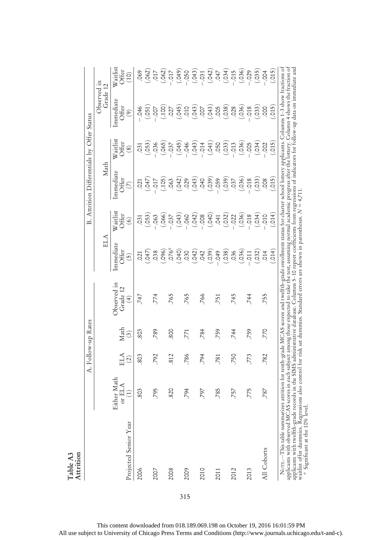|                       |                                          |            | A. Follow-up Rates                        |                                          |                                       |                                | B. Attrition Differentials by Offer Status |                                    |                                               |                           |
|-----------------------|------------------------------------------|------------|-------------------------------------------|------------------------------------------|---------------------------------------|--------------------------------|--------------------------------------------|------------------------------------|-----------------------------------------------|---------------------------|
|                       |                                          |            |                                           |                                          | ELA                                   |                                | Math                                       |                                    | Observed in<br>Grade 12                       |                           |
| Projected Senior Year | Either Math<br>or ELA<br>$\widehat{\Xi}$ | ELA<br>(2) | Math<br>$\begin{pmatrix} 3 \end{pmatrix}$ | Observed in<br>Grade 12<br>$\mathcal{A}$ | Immediate<br>Offer<br>$\widetilde{5}$ | Waitlist<br>Offer<br>$\hat{6}$ | Immediate<br>Offer<br>$(\bar{z})$          | Waitlist<br>Offer<br>$\circled{s}$ | Immediate<br>Offer<br>$\widehat{\mathcal{F}}$ | Waitlist<br>Offer<br>(10) |
| 2006                  | 803                                      | 803        | 803                                       | 747                                      | 021                                   | $-031$                         | .021                                       | $-031$                             | 046                                           | .069                      |
|                       |                                          |            |                                           |                                          | (47)                                  | (.053)                         | (147)                                      | (.053)                             | (0.051)                                       | .062                      |
| 2007                  | 795                                      | 792        | 789                                       | 774                                      | .038                                  | .063                           | $\overline{0}17$                           | .036                               | SO.                                           | .017                      |
|                       |                                          |            |                                           |                                          | (960)                                 | (.066)                         | (105)                                      | (.065)                             | (100)                                         | (.062)                    |
| 2008                  | 820                                      | 812        | 800                                       | 765                                      | $.076*$                               | $-.037$                        | .063                                       | $-.037$                            | 027                                           | -.017                     |
|                       |                                          |            |                                           |                                          | $(6+0)$                               | (.043)                         | (.042)                                     | (.045)                             | $(3+6)$                                       | (0.049)                   |
| 2009                  | 794                                      | 786        | 771                                       | 765                                      | .030                                  | $-.060$                        | .029                                       | $-.046$                            | <b>OIO.</b>                                   |                           |
|                       |                                          |            |                                           |                                          | (042)                                 | (.042)                         | (.043)                                     | (.043)                             | (.043)                                        | (.043)                    |
| 2010                  | 797                                      | 794        | 784                                       | 766                                      | .042                                  | $-0.008$                       | <b>040</b>                                 | $-0.014$                           | <b>COO</b> .                                  | .031                      |
|                       |                                          |            |                                           |                                          | (.039)                                | (.040)                         | (0.59)                                     | (.041)                             | (.043)                                        | (.042)                    |
| 2011                  | 785                                      | .781       | 759                                       | .751                                     | .049                                  | .041                           | 059                                        | .050                               | .005                                          | L+0.                      |
|                       |                                          |            |                                           |                                          | (.038)                                | (.032)                         | (.039)                                     | (.033)                             | (.038)                                        | (.034)                    |
| 2012                  | 757                                      | 750        | 744                                       | 745                                      | 036                                   | $-.022$                        | .037                                       | $-.013$                            | .028                                          | .015                      |
|                       |                                          |            |                                           |                                          | (.036)                                | (.036)                         | (.036)                                     | (.036)                             | (.036)                                        | (.036)                    |
| 2013                  | ,775                                     | 773        | 759                                       | 744                                      | $\overline{0}$                        | $-.018$                        | .018                                       | $-.005$                            | .018                                          | $-0.029$                  |
|                       |                                          |            |                                           |                                          | (.032)                                | (.034)                         | (.033)                                     | (.034)                             | (.033)                                        | (.035)                    |
| All Cohorts           | 787                                      | 782        | 770                                       | ,755                                     | .014                                  | $-0.010$                       | <b>SOO</b>                                 | $-.002$                            | OOC.                                          | 50 <sup>4</sup>           |
|                       |                                          |            |                                           |                                          | (.014)                                | (.014)                         | (.015)                                     | (.015)                             | (.015)                                        | (.015)                    |

This content downloaded from 018.189.069.198 on October 19, 2016 16:01:59 PM All use subject to University of Chicago Press Terms and Conditions (http://www.journals.uchicago.edu/t-and-c).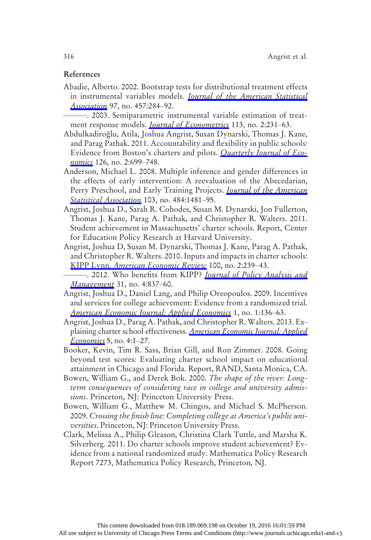# References

- Abadie, Alberto. 2002. Bootstrap tests for distributional treatment effects in instrumental variables models. *Iournal of the American Statistical* [Association](http://www.journals.uchicago.edu/action/showLinks?crossref=10.1198%2F016214502753479419) 97, no. 457:284-92.
	- ———. 2003. Semiparametric instrumental variable estimation of treatment response models. *[Journal of Econometrics](http://www.journals.uchicago.edu/action/showLinks?crossref=10.1016%2FS0304-4076%2802%2900201-4)* 113, no. 2:231–63.
- Abdulkadiroğlu, Atila, Joshua Angrist, Susan Dynarski, Thomas J. Kane, and Parag Pathak. 2011. Accountability and flexibility in public schools: Evidence from Boston's charters and pilots. *[Quarterly Journal of Eco](http://www.journals.uchicago.edu/action/showLinks?crossref=10.1093%2Fqje%2Fqjr017)*[nomics](http://www.journals.uchicago.edu/action/showLinks?crossref=10.1093%2Fqje%2Fqjr017) 126, no. 2:699-748.
- Anderson, Michael L. 2008. Multiple inference and gender differences in the effects of early intervention: A reevaluation of the Abecedarian, Perry Preschool, and Early Training Projects. *[Journal of the American](http://www.journals.uchicago.edu/action/showLinks?crossref=10.1198%2F016214508000000841)* [Statistical Association](http://www.journals.uchicago.edu/action/showLinks?crossref=10.1198%2F016214508000000841) 103, no. 484:1481-95.
- Angrist, Joshua D., Sarah R. Cohodes, Susan M. Dynarski, Jon Fullerton, Thomas J. Kane, Parag A. Pathak, and Christopher R. Walters. 2011. Student achievement in Massachusetts' charter schools. Report, Center for Education Policy Research at Harvard University.
- Angrist, Joshua D, Susan M. Dynarski, Thomas J. Kane, Parag A. Pathak, and Christopher R. Walters. 2010. Inputs and impacts in charter schools: KIPP Lynn. [American Economic Review](http://www.journals.uchicago.edu/action/showLinks?crossref=10.1257%2Faer.100.2.239) 100, no. 2:239-43.
	- -. 2012. Who benefits from KIPP? <u>Io*urnal of Policy Analysis and*</u> [Management](http://www.journals.uchicago.edu/action/showLinks?crossref=10.1002%2Fpam.21647) 31, no. 4:837-60.
- Angrist, Joshua D., Daniel Lang, and Philip Oreopoulos. 2009. Incentives and services for college achievement: Evidence from a randomized trial. [American Economic Journal: Applied Economics](http://www.journals.uchicago.edu/action/showLinks?crossref=10.1257%2Fapp.1.1.136) 1, no. 1:136-63.
- Angrist, Joshua D., Parag A. Pathak, and Christopher R. Walters. 2013. Ex-plaining charter school effectiveness. [American Economic Journal: Applied](http://www.journals.uchicago.edu/action/showLinks?crossref=10.1257%2Fapp.5.4.1) *[Economics](http://www.journals.uchicago.edu/action/showLinks?crossref=10.1257%2Fapp.5.4.1)* 5, no. 4:1–27.
- Booker, Kevin, Tim R. Sass, Brian Gill, and Ron Zimmer. 2008. Going beyond test scores: Evaluating charter school impact on educational attainment in Chicago and Florida. Report, RAND, Santa Monica, CA.
- Bowen, William G., and Derek Bok. 2000. The shape of the river: Longterm consequences of considering race in college and university admissions. Princeton, NJ: Princeton University Press.
- Bowen, William G., Matthew M. Chingos, and Michael S. McPherson. 2009. Crossing the finish line: Completing college at America's public universities. Princeton, NJ: Princeton University Press.
- Clark, Melissa A., Philip Gleason, Christina Clark Tuttle, and Marsha K. Silverberg. 2011. Do charter schools improve student achievement? Evidence from a national randomized study. Mathematica Policy Research Report 7273, Mathematica Policy Research, Princeton, NJ.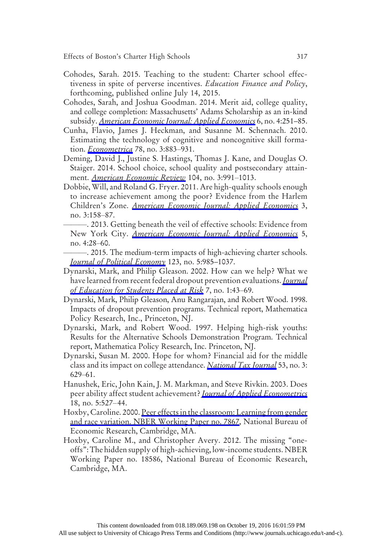Effects of Boston's Charter High Schools 317

- Cohodes, Sarah. 2015. Teaching to the student: Charter school effectiveness in spite of perverse incentives. Education Finance and Policy, forthcoming, published online July 14, 2015.
- Cohodes, Sarah, and Joshua Goodman. 2014. Merit aid, college quality, and college completion: Massachusetts' Adams Scholarship as an in-kind subsidy. [American Economic Journal: Applied Economics](http://www.journals.uchicago.edu/action/showLinks?crossref=10.1257%2Fapp.6.4.251) 6, no. 4:251-85.
- Cunha, Flavio, James J. Heckman, and Susanne M. Schennach. 2010. Estimating the technology of cognitive and noncognitive skill formation. *[Econometrica](http://www.journals.uchicago.edu/action/showLinks?crossref=10.3982%2FECTA6551)* 78, no. 3:883-931.
- Deming, David J., Justine S. Hastings, Thomas J. Kane, and Douglas O. Staiger. 2014. School choice, school quality and postsecondary attain-ment. [American Economic Review](http://www.journals.uchicago.edu/action/showLinks?crossref=10.1257%2Faer.104.3.991) 104, no. 3:991-1013.
- Dobbie, Will, and Roland G. Fryer. 2011. Are high-quality schools enough to increase achievement among the poor? Evidence from the Harlem Children's Zone. *[American Economic Journal: Applied Economics](http://www.journals.uchicago.edu/action/showLinks?crossref=10.1257%2Fapp.3.3.158)* 3, no. 3:158–87.
- ———. 2013. Getting beneath the veil of effective schools: Evidence from New York City. [American Economic Journal: Applied Economics](http://www.journals.uchicago.edu/action/showLinks?crossref=10.1257%2Fapp.5.4.28) 5, no. 4:28–60.
- ———. 2015. The medium-term impacts of high-achieving charter schools. [Journal of Political Economy](http://www.journals.uchicago.edu/action/showLinks?system=10.1086%2F682718) 123, no. 5:985–1037.
- Dynarski, Mark, and Philip Gleason. 2002. How can we help? What we have learned from recent federal dropout prevention evaluations. *[Journal](http://www.journals.uchicago.edu/action/showLinks?crossref=10.1207%2FS15327671ESPR0701_4)* <u>[of Education for Students Placed at Risk](http://www.journals.uchicago.edu/action/showLinks?crossref=10.1207%2FS15327671ESPR0701_4)</u> 7, no. 1:43–69.
- Dynarski, Mark, Philip Gleason, Anu Rangarajan, and Robert Wood. 1998. Impacts of dropout prevention programs. Technical report, Mathematica Policy Research, Inc., Princeton, NJ.
- Dynarski, Mark, and Robert Wood. 1997. Helping high-risk youths: Results for the Alternative Schools Demonstration Program. Technical report, Mathematica Policy Research, Inc. Princeton, NJ.
- Dynarski, Susan M. 2000. Hope for whom? Financial aid for the middle class and its impact on college attendance. *[National Tax Journal](http://www.journals.uchicago.edu/action/showLinks?crossref=10.17310%2Fntj.2000.3S.02)* 53, no. 3: 629–61.
- Hanushek, Eric, John Kain, J. M. Markman, and Steve Rivkin. 2003. Does peer ability affect student achievement? *[Journal of Applied Econometrics](http://www.journals.uchicago.edu/action/showLinks?crossref=10.1002%2Fjae.741)* 18, no. 5:527–44.
- Hoxby, Caroline. 2000. [Peer effects in the classroom: Learning from gender](http://www.journals.uchicago.edu/action/showLinks?crossref=10.3386%2Fw7867) [and race variation. NBER Working Paper no. 7867,](http://www.journals.uchicago.edu/action/showLinks?crossref=10.3386%2Fw7867) National Bureau of Economic Research, Cambridge, MA.
- Hoxby, Caroline M., and Christopher Avery. 2012. The missing "oneoffs": The hidden supply of high-achieving, low-income students. NBER Working Paper no. 18586, National Bureau of Economic Research, Cambridge, MA.